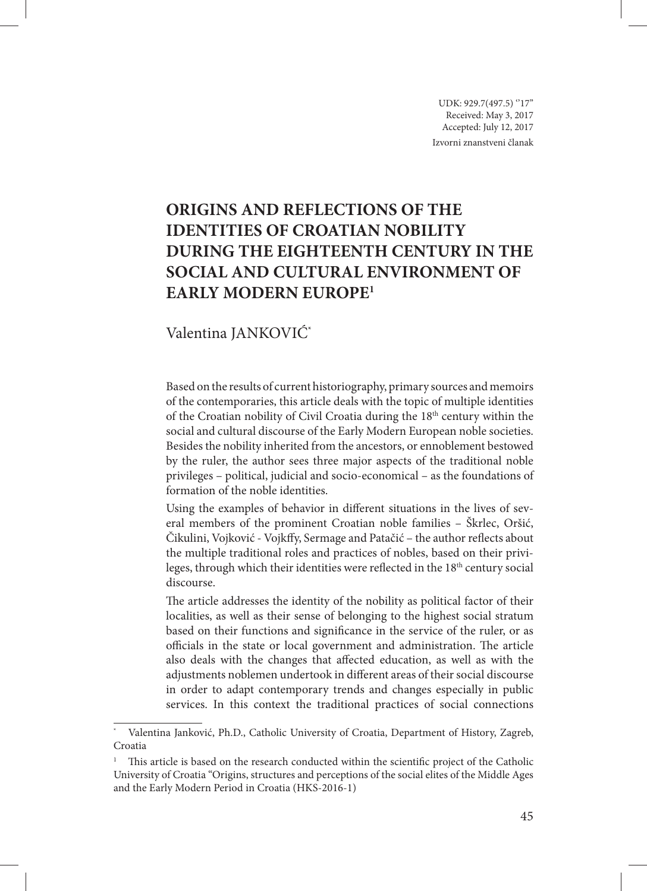UDK: 929.7(497.5) "17" Received: May 3, 2017 Accepted: July 12, 2017 Izvorni znanstveni članak

# **ORIGINS AND REFLECTIONS OF THE IDENTITIES OF CROATIAN NOBILITY DURING THE EIGHTEENTH CENTURY IN THE SOCIAL AND CULTURAL ENVIRONMENT OF EARLY MODERN EUROPE<sup>1</sup>**

## Valentina JANKOVIĆ\*

Based on the results of current historiography, primary sources and memoirs of the contemporaries, this article deals with the topic of multiple identities of the Croatian nobility of Civil Croatia during the 18<sup>th</sup> century within the social and cultural discourse of the Early Modern European noble societies. Besides the nobility inherited from the ancestors, or ennoblement bestowed by the ruler, the author sees three major aspects of the traditional noble privileges – political, judicial and socio-economical – as the foundations of formation of the noble identities.

Using the examples of behavior in different situations in the lives of several members of the prominent Croatian noble families – Škrlec, Oršić, Čikulini, Vojković - Vojkffy, Sermage and Patačić – the author reflects about the multiple traditional roles and practices of nobles, based on their privileges, through which their identities were reflected in the  $18<sup>th</sup>$  century social discourse.

The article addresses the identity of the nobility as political factor of their localities, as well as their sense of belonging to the highest social stratum based on their functions and significance in the service of the ruler, or as officials in the state or local government and administration. The article also deals with the changes that affected education, as well as with the adjustments noblemen undertook in different areas of their social discourse in order to adapt contemporary trends and changes especially in public services. In this context the traditional practices of social connections

Valentina Janković, Ph.D., Catholic University of Croatia, Department of History, Zagreb, Croatia

<sup>1</sup> This article is based on the research conducted within the scientific project of the Catholic University of Croatia "Origins, structures and perceptions of the social elites of the Middle Ages and the Early Modern Period in Croatia (HKS-2016-1)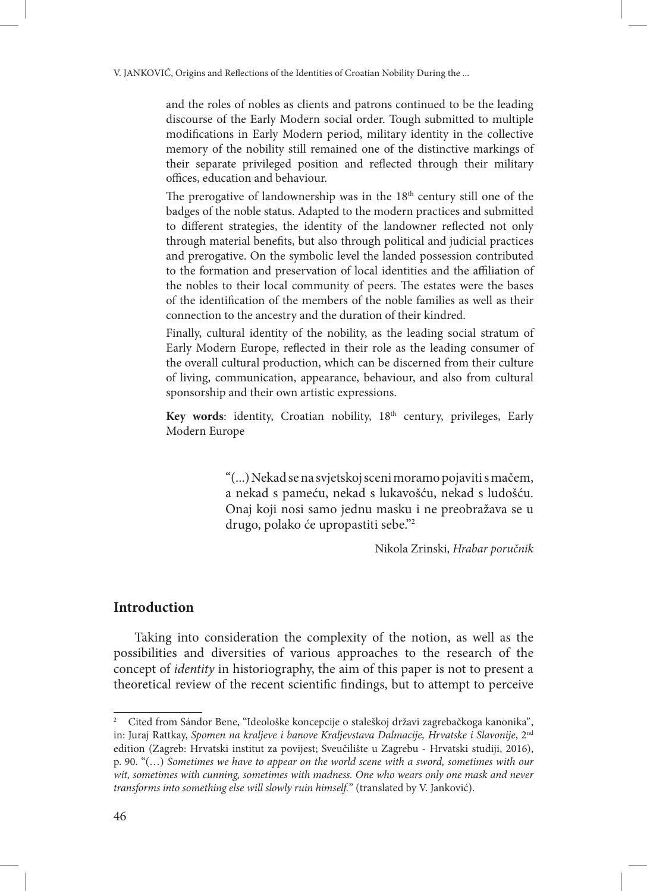and the roles of nobles as clients and patrons continued to be the leading discourse of the Early Modern social order. Tough submitted to multiple modifications in Early Modern period, military identity in the collective memory of the nobility still remained one of the distinctive markings of their separate privileged position and reflected through their military offices, education and behaviour.

The prerogative of landownership was in the  $18<sup>th</sup>$  century still one of the badges of the noble status. Adapted to the modern practices and submitted to different strategies, the identity of the landowner reflected not only through material benefits, but also through political and judicial practices and prerogative. On the symbolic level the landed possession contributed to the formation and preservation of local identities and the affiliation of the nobles to their local community of peers. The estates were the bases of the identification of the members of the noble families as well as their connection to the ancestry and the duration of their kindred.

Finally, cultural identity of the nobility, as the leading social stratum of Early Modern Europe, reflected in their role as the leading consumer of the overall cultural production, which can be discerned from their culture of living, communication, appearance, behaviour, and also from cultural sponsorship and their own artistic expressions.

Key words: identity, Croatian nobility, 18<sup>th</sup> century, privileges, Early Modern Europe

> "(...) Nekad se na svjetskoj sceni moramo pojaviti s mačem, a nekad s pameću, nekad s lukavošću, nekad s ludošću. Onaj koji nosi samo jednu masku i ne preobražava se u drugo, polako će upropastiti sebe."2

> > Nikola Zrinski, *Hrabar poručnik*

#### **Introduction**

Taking into consideration the complexity of the notion, as well as the possibilities and diversities of various approaches to the research of the concept of *identity* in historiography, the aim of this paper is not to present a theoretical review of the recent scientific findings, but to attempt to perceive

<sup>2</sup> Cited from Sándor Bene, "Ideološke koncepcije o staleškoj državi zagrebačkoga kanonika", in: Juraj Rattkay, *Spomen na kraljeve i banove Kraljevstava Dalmacije, Hrvatske i Slavonije*, 2nd edition (Zagreb: Hrvatski institut za povijest; Sveučilište u Zagrebu - Hrvatski studiji, 2016), p. 90. "(…) *Sometimes we have to appear on the world scene with a sword, sometimes with our*  wit, sometimes with cunning, sometimes with madness. One who wears only one mask and never *transforms into something else will slowly ruin himself.*" (translated by V. Janković).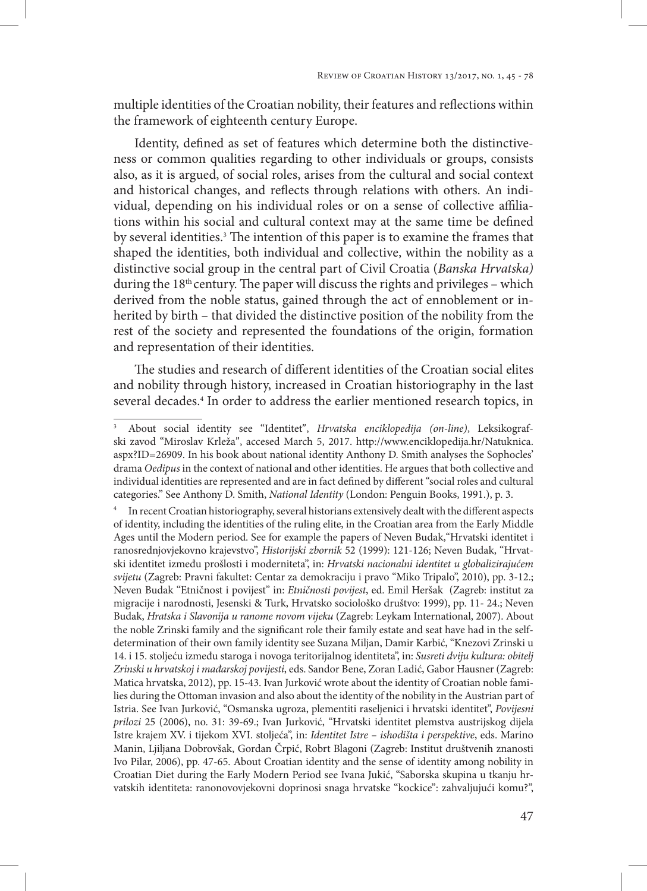multiple identities of the Croatian nobility, their features and reflections within the framework of eighteenth century Europe.

Identity, defined as set of features which determine both the distinctiveness or common qualities regarding to other individuals or groups, consists also, as it is argued, of social roles, arises from the cultural and social context and historical changes, and reflects through relations with others. An individual, depending on his individual roles or on a sense of collective affiliations within his social and cultural context may at the same time be defined by several identities.3 The intention of this paper is to examine the frames that shaped the identities, both individual and collective, within the nobility as a distinctive social group in the central part of Civil Croatia (*Banska Hrvatska)* during the 18<sup>th</sup> century. The paper will discuss the rights and privileges – which derived from the noble status, gained through the act of ennoblement or inherited by birth – that divided the distinctive position of the nobility from the rest of the society and represented the foundations of the origin, formation and representation of their identities.

The studies and research of different identities of the Croatian social elites and nobility through history, increased in Croatian historiography in the last several decades.4 In order to address the earlier mentioned research topics, in

<sup>3</sup> About social identity see "Identitet", *Hrvatska enciklopedija (on-line)*, Leksikografski zavod "Miroslav Krleža", accesed March 5, 2017. http://www.enciklopedija.hr/Natuknica. aspx?ID=26909. In his book about national identity Anthony D. Smith analyses the Sophocles' drama *Oedipus* in the context of national and other identities. He argues that both collective and individual identities are represented and are in fact defined by different "social roles and cultural categories." See Anthony D. Smith, *National Identity* (London: Penguin Books, 1991.), p. 3.

In recent Croatian historiography, several historians extensively dealt with the different aspects of identity, including the identities of the ruling elite, in the Croatian area from the Early Middle Ages until the Modern period. See for example the papers of Neven Budak,"Hrvatski identitet i ranosrednjovjekovno krajevstvo", *Historijski zbornik* 52 (1999): 121-126; Neven Budak, "Hrvatski identitet između prošlosti i moderniteta", in: *Hrvatski nacionalni identitet u globalizirajućem svijetu* (Zagreb: Pravni fakultet: Centar za demokraciju i pravo "Miko Tripalo", 2010), pp. 3-12.; Neven Budak "Etničnost i povijest" in: *Etničnosti povijest*, ed. Emil Heršak (Zagreb: institut za migracije i narodnosti, Jesenski & Turk, Hrvatsko sociološko društvo: 1999), pp. 11- 24.; Neven Budak, *Hratska i Slavonija u ranome novom vijeku* (Zagreb: Leykam International, 2007). About the noble Zrinski family and the significant role their family estate and seat have had in the selfdetermination of their own family identity see Suzana Miljan, Damir Karbić, "Knezovi Zrinski u 14. i 15. stoljeću između staroga i novoga teritorijalnog identiteta", in: *Susreti dviju kultura: obitelj Zrinski u hrvatskoj i mađarskoj povijesti*, eds. Sandor Bene, Zoran Ladić, Gabor Hausner (Zagreb: Matica hrvatska, 2012), pp. 15-43. Ivan Jurković wrote about the identity of Croatian noble families during the Ottoman invasion and also about the identity of the nobility in the Austrian part of Istria. See Ivan Jurković, "Osmanska ugroza, plementiti raseljenici i hrvatski identitet", *Povijesni prilozi* 25 (2006), no. 31: 39-69.; Ivan Jurković, "Hrvatski identitet plemstva austrijskog dijela Istre krajem XV. i tijekom XVI. stoljeća", in: *Identitet Istre – ishodišta i perspektive*, eds. Marino Manin, Ljiljana Dobrovšak, Gordan Črpić, Robrt Blagoni (Zagreb: Institut društvenih znanosti Ivo Pilar, 2006), pp. 47-65. About Croatian identity and the sense of identity among nobility in Croatian Diet during the Early Modern Period see Ivana Jukić, "Saborska skupina u tkanju hrvatskih identiteta: ranonovovjekovni doprinosi snaga hrvatske "kockice": zahvaljujući komu?",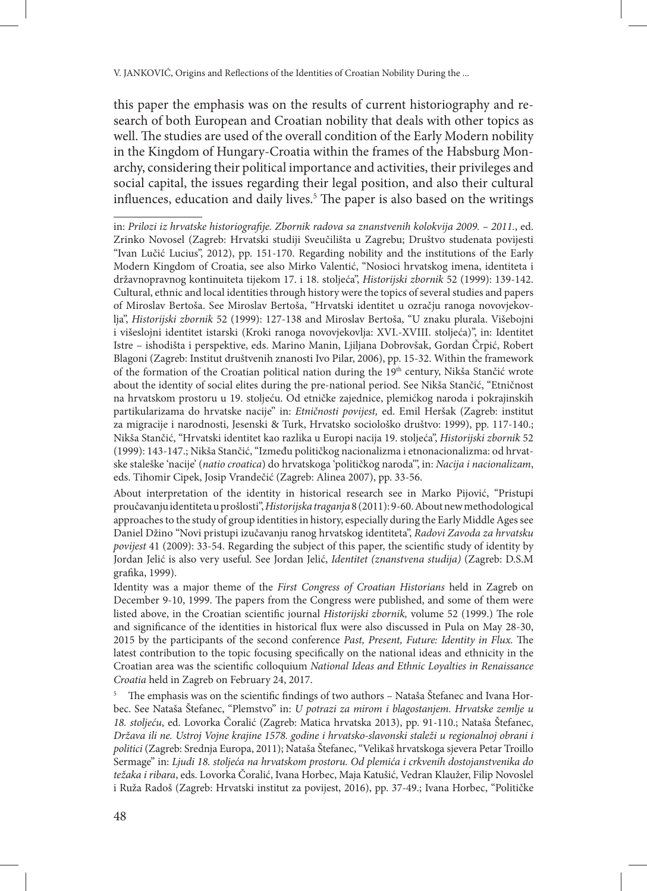this paper the emphasis was on the results of current historiography and research of both European and Croatian nobility that deals with other topics as well. The studies are used of the overall condition of the Early Modern nobility in the Kingdom of Hungary-Croatia within the frames of the Habsburg Monarchy, considering their political importance and activities, their privileges and social capital, the issues regarding their legal position, and also their cultural influences, education and daily lives.5 The paper is also based on the writings

in: *Prilozi iz hrvatske historiografije. Zbornik radova sa znanstvenih kolokvija 2009. – 2011.*, ed. Zrinko Novosel (Zagreb: Hrvatski studiji Sveučilišta u Zagrebu; Društvo studenata povijesti "Ivan Lučić Lucius", 2012), pp. 151-170. Regarding nobility and the institutions of the Early Modern Kingdom of Croatia, see also Mirko Valentić, "Nosioci hrvatskog imena, identiteta i državnopravnog kontinuiteta tijekom 17. i 18. stoljeća", *Historijski zbornik* 52 (1999): 139-142. Cultural, ethnic and local identities through history were the topics of several studies and papers of Miroslav Bertoša. See Miroslav Bertoša, "Hrvatski identitet u ozračju ranoga novovjekovlja", *Historijski zbornik* 52 (1999): 127-138 and Miroslav Bertoša, "U znaku plurala. Višebojni i višeslojni identitet istarski (Kroki ranoga novovjekovlja: XVI.-XVIII. stoljeća)", in: Identitet Istre – ishodišta i perspektive, eds. Marino Manin, Ljiljana Dobrovšak, Gordan Črpić, Robert Blagoni (Zagreb: Institut društvenih znanosti Ivo Pilar, 2006), pp. 15-32. Within the framework of the formation of the Croatian political nation during the 19<sup>th</sup> century, Nikša Stančić wrote about the identity of social elites during the pre-national period. See Nikša Stančić, "Etničnost na hrvatskom prostoru u 19. stoljeću. Od etničke zajednice, plemićkog naroda i pokrajinskih partikularizama do hrvatske nacije" in: *Etničnosti povijest,* ed. Emil Heršak (Zagreb: institut za migracije i narodnosti, Jesenski & Turk, Hrvatsko sociološko društvo: 1999), pp. 117-140.; Nikša Stančić, "Hrvatski identitet kao razlika u Europi nacija 19. stoljeća", *Historijski zbornik* 52 (1999): 143-147.; Nikša Stančić, "Između političkog nacionalizma i etnonacionalizma: od hrvatske staleške 'nacije' (*natio croatica*) do hrvatskoga 'političkog naroda'", in: *Nacija i nacionalizam*, eds. Tihomir Cipek, Josip Vrandečić (Zagreb: Alinea 2007), pp. 33-56.

About interpretation of the identity in historical research see in Marko Pijović, "Pristupi proučavanju identiteta u prošlosti", *Historijska traganja* 8 (2011): 9-60. About new methodological approaches to the study of group identities in history, especially during the Early Middle Ages see Daniel Džino "Novi pristupi izučavanju ranog hrvatskog identiteta", *Radovi Zavoda za hrvatsku povijest* 41 (2009): 33-54. Regarding the subject of this paper, the scientific study of identity by Jordan Jelić is also very useful. See Jordan Jelić, *Identitet (znanstvena studija)* (Zagreb: D.S.M grafika, 1999).

Identity was a major theme of the *First Congress of Croatian Historians* held in Zagreb on December 9-10, 1999. The papers from the Congress were published, and some of them were listed above, in the Croatian scientific journal *Historijski zbornik,* volume 52 (1999.) The role and significance of the identities in historical flux were also discussed in Pula on May 28-30, 2015 by the participants of the second conference *Past, Present, Future: Identity in Flux.* The latest contribution to the topic focusing specifically on the national ideas and ethnicity in the Croatian area was the scientific colloquium *National Ideas and Ethnic Loyalties in Renaissance Croatia* held in Zagreb on February 24, 2017.

The emphasis was on the scientific findings of two authors - Nataša Štefanec and Ivana Horbec. See Nataša Štefanec, "Plemstvo" in: *U potrazi za mirom i blagostanjem. Hrvatske zemlje u 18. stoljeću*, ed. Lovorka Čoralić (Zagreb: Matica hrvatska 2013), pp. 91-110.; Nataša Štefanec, *Država ili ne. Ustroj Vojne krajine 1578. godine i hrvatsko-slavonski staleži u regionalnoj obrani i politici* (Zagreb: Srednja Europa, 2011); Nataša Štefanec, "Velikaš hrvatskoga sjevera Petar Troillo Sermage" in: *Ljudi 18. stoljeća na hrvatskom prostoru. Od plemića i crkvenih dostojanstvenika do težaka i ribara*, eds. Lovorka Čoralić, Ivana Horbec, Maja Katušić, Vedran Klaužer, Filip Novoslel i Ruža Radoš (Zagreb: Hrvatski institut za povijest, 2016), pp. 37-49.; Ivana Horbec, "Političke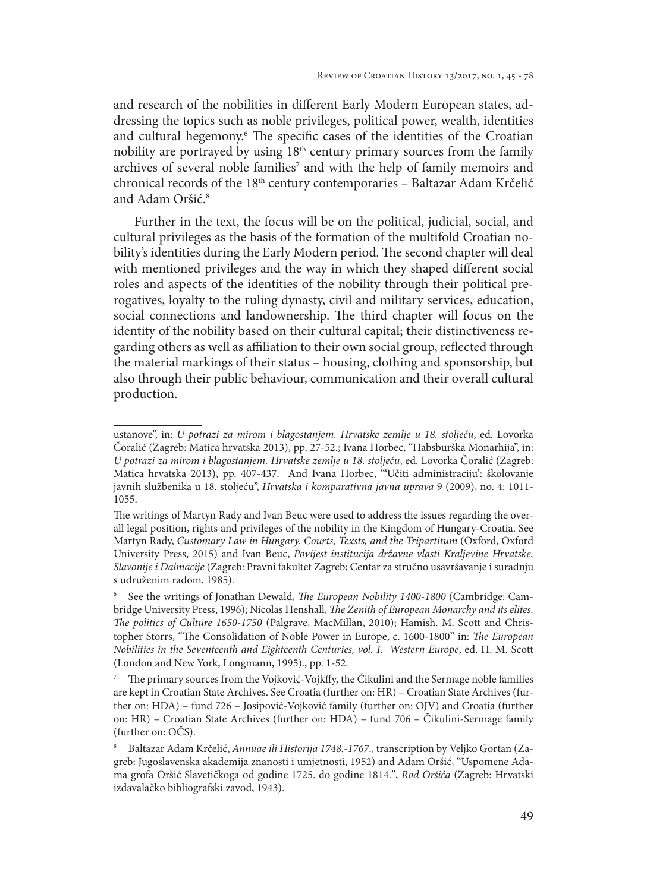and research of the nobilities in different Early Modern European states, addressing the topics such as noble privileges, political power, wealth, identities and cultural hegemony.6 The specific cases of the identities of the Croatian nobility are portrayed by using 18th century primary sources from the family archives of several noble families<sup>7</sup> and with the help of family memoirs and chronical records of the 18<sup>th</sup> century contemporaries – Baltazar Adam Krčelić and Adam Oršić.<sup>8</sup>

Further in the text, the focus will be on the political, judicial, social, and cultural privileges as the basis of the formation of the multifold Croatian nobility's identities during the Early Modern period. The second chapter will deal with mentioned privileges and the way in which they shaped different social roles and aspects of the identities of the nobility through their political prerogatives, loyalty to the ruling dynasty, civil and military services, education, social connections and landownership. The third chapter will focus on the identity of the nobility based on their cultural capital; their distinctiveness regarding others as well as affiliation to their own social group, reflected through the material markings of their status – housing, clothing and sponsorship, but also through their public behaviour, communication and their overall cultural production.

ustanove", in: *U potrazi za mirom i blagostanjem. Hrvatske zemlje u 18. stoljeću*, ed. Lovorka Čoralić (Zagreb: Matica hrvatska 2013), pp. 27-52.; Ivana Horbec, "Habsburška Monarhija", in: *U potrazi za mirom i blagostanjem. Hrvatske zemlje u 18. stoljeću*, ed. Lovorka Čoralić (Zagreb: Matica hrvatska 2013), pp. 407-437. And Ivana Horbec, "'Učiti administraciju': školovanje javnih službenika u 18. stoljeću", *Hrvatska i komparativna javna uprava* 9 (2009), no. 4: 1011- 1055.

The writings of Martyn Rady and Ivan Beuc were used to address the issues regarding the overall legal position, rights and privileges of the nobility in the Kingdom of Hungary-Croatia. See Martyn Rady, *Customary Law in Hungary. Courts, Texsts, and the Tripartitum* (Oxford, Oxford University Press, 2015) and Ivan Beuc, *Povijest institucija državne vlasti Kraljevine Hrvatske, Slavonije i Dalmacije* (Zagreb: Pravni fakultet Zagreb; Centar za stručno usavršavanje i suradnju s udruženim radom, 1985).

<sup>6</sup> See the writings of Jonathan Dewald, *The European Nobility 1400-1800* (Cambridge: Cambridge University Press, 1996); Nicolas Henshall, *The Zenith of European Monarchy and its elites. The politics of Culture 1650-1750* (Palgrave, MacMillan, 2010); Hamish. M. Scott and Christopher Storrs, "The Consolidation of Noble Power in Europe, c. 1600-1800" in: *The European Nobilities in the Seventeenth and Eighteenth Centuries, vol. I. Western Europe*, ed. H. M. Scott (London and New York, Longmann, 1995)., pp. 1-52.

<sup>7</sup> The primary sources from the Vojković-Vojkffy, the Čikulini and the Sermage noble families are kept in Croatian State Archives. See Croatia (further on: HR) – Croatian State Archives (further on: HDA) – fund 726 – Josipović-Vojković family (further on: OJV) and Croatia (further on: HR) – Croatian State Archives (further on: HDA) – fund 706 – Čikulini-Sermage family (further on: OČS).

<sup>8</sup> Baltazar Adam Krčelić, *Annuae ili Historija 1748.-1767*., transcription by Veljko Gortan (Zagreb: Jugoslavenska akademija znanosti i umjetnosti, 1952) and Adam Oršić, "Uspomene Adama grofa Oršić Slavetičkoga od godine 1725. do godine 1814.", *Rod Oršića* (Zagreb: Hrvatski izdavalačko bibliografski zavod, 1943).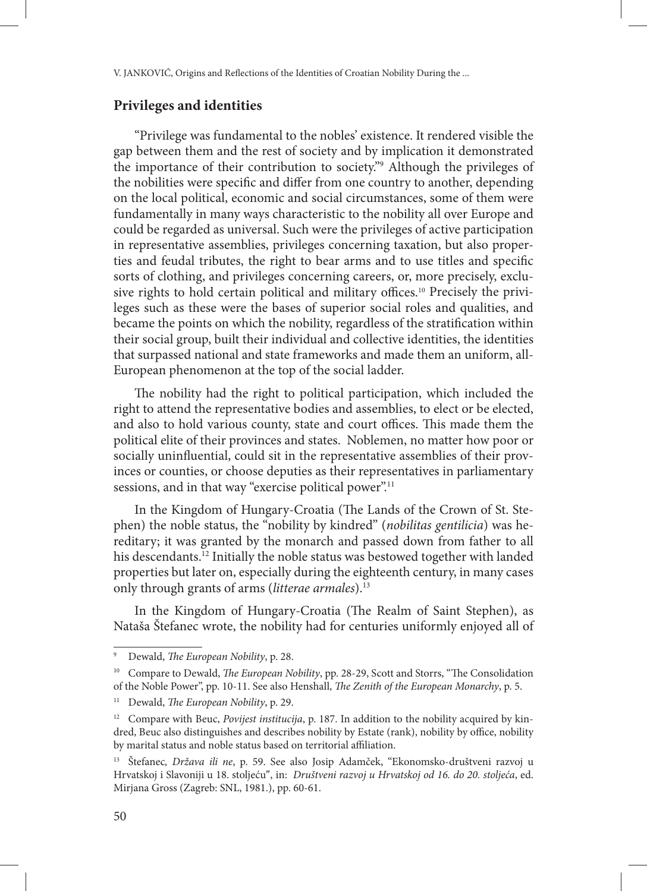#### **Privileges and identities**

"Privilege was fundamental to the nobles' existence. It rendered visible the gap between them and the rest of society and by implication it demonstrated the importance of their contribution to society."9 Although the privileges of the nobilities were specific and differ from one country to another, depending on the local political, economic and social circumstances, some of them were fundamentally in many ways characteristic to the nobility all over Europe and could be regarded as universal. Such were the privileges of active participation in representative assemblies, privileges concerning taxation, but also properties and feudal tributes, the right to bear arms and to use titles and specific sorts of clothing, and privileges concerning careers, or, more precisely, exclusive rights to hold certain political and military offices.<sup>10</sup> Precisely the privileges such as these were the bases of superior social roles and qualities, and became the points on which the nobility, regardless of the stratification within their social group, built their individual and collective identities, the identities that surpassed national and state frameworks and made them an uniform, all-European phenomenon at the top of the social ladder.

The nobility had the right to political participation, which included the right to attend the representative bodies and assemblies, to elect or be elected, and also to hold various county, state and court offices. This made them the political elite of their provinces and states. Noblemen, no matter how poor or socially uninfluential, could sit in the representative assemblies of their provinces or counties, or choose deputies as their representatives in parliamentary sessions, and in that way "exercise political power".<sup>11</sup>

In the Kingdom of Hungary-Croatia (The Lands of the Crown of St. Stephen) the noble status, the "nobility by kindred" (*nobilitas gentilicia*) was hereditary; it was granted by the monarch and passed down from father to all his descendants.<sup>12</sup> Initially the noble status was bestowed together with landed properties but later on, especially during the eighteenth century, in many cases only through grants of arms (*litterae armales*).13

In the Kingdom of Hungary-Croatia (The Realm of Saint Stephen), as Nataša Štefanec wrote, the nobility had for centuries uniformly enjoyed all of

<sup>9</sup> Dewald, *The European Nobility*, p. 28.

<sup>&</sup>lt;sup>10</sup> Compare to Dewald, *The European Nobility*, pp. 28-29, Scott and Storrs, "The Consolidation of the Noble Power", pp. 10-11. See also Henshall, *The Zenith of the European Monarchy*, p. 5.

<sup>11</sup> Dewald, *The European Nobility*, p. 29.

<sup>12</sup> Compare with Beuc, *Povijest institucija*, p. 187. In addition to the nobility acquired by kindred, Beuc also distinguishes and describes nobility by Estate (rank), nobility by office, nobility by marital status and noble status based on territorial affiliation.

<sup>13</sup> Štefanec*, Država ili ne*, p. 59. See also Josip Adamček, "Ekonomsko-društveni razvoj u Hrvatskoj i Slavoniji u 18. stoljeću", in: *Društveni razvoj u Hrvatskoj od 16. do 20. stoljeća*, ed. Mirjana Gross (Zagreb: SNL, 1981.), pp. 60-61.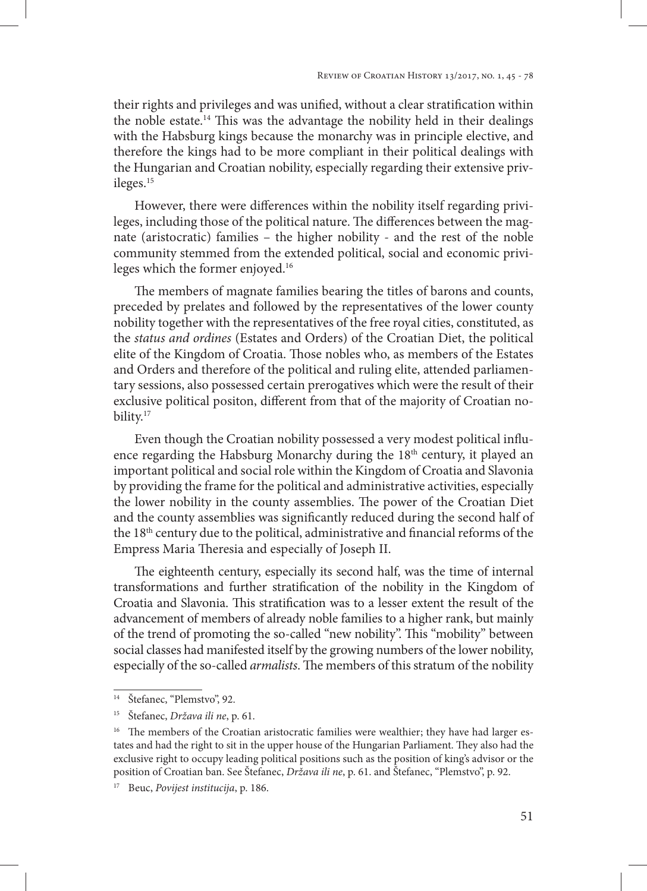their rights and privileges and was unified, without a clear stratification within the noble estate.14 This was the advantage the nobility held in their dealings with the Habsburg kings because the monarchy was in principle elective, and therefore the kings had to be more compliant in their political dealings with the Hungarian and Croatian nobility, especially regarding their extensive privileges.<sup>15</sup>

However, there were differences within the nobility itself regarding privileges, including those of the political nature. The differences between the magnate (aristocratic) families – the higher nobility - and the rest of the noble community stemmed from the extended political, social and economic privileges which the former enjoyed.16

The members of magnate families bearing the titles of barons and counts, preceded by prelates and followed by the representatives of the lower county nobility together with the representatives of the free royal cities, constituted, as the *status and ordines* (Estates and Orders) of the Croatian Diet, the political elite of the Kingdom of Croatia. Those nobles who, as members of the Estates and Orders and therefore of the political and ruling elite, attended parliamentary sessions, also possessed certain prerogatives which were the result of their exclusive political positon, different from that of the majority of Croatian nobility.<sup>17</sup>

Even though the Croatian nobility possessed a very modest political influence regarding the Habsburg Monarchy during the  $18<sup>th</sup>$  century, it played an important political and social role within the Kingdom of Croatia and Slavonia by providing the frame for the political and administrative activities, especially the lower nobility in the county assemblies. The power of the Croatian Diet and the county assemblies was significantly reduced during the second half of the 18<sup>th</sup> century due to the political, administrative and financial reforms of the Empress Maria Theresia and especially of Joseph II.

The eighteenth century, especially its second half, was the time of internal transformations and further stratification of the nobility in the Kingdom of Croatia and Slavonia. This stratification was to a lesser extent the result of the advancement of members of already noble families to a higher rank, but mainly of the trend of promoting the so-called "new nobility". This "mobility" between social classes had manifested itself by the growing numbers of the lower nobility, especially of the so-called *armalists*. The members of this stratum of the nobility

<sup>14</sup> Štefanec, "Plemstvo", 92.

<sup>15</sup> Štefanec, *Država ili ne*, p. 61.

<sup>&</sup>lt;sup>16</sup> The members of the Croatian aristocratic families were wealthier; they have had larger estates and had the right to sit in the upper house of the Hungarian Parliament. They also had the exclusive right to occupy leading political positions such as the position of king's advisor or the position of Croatian ban. See Štefanec, *Država ili ne*, p. 61. and Štefanec, "Plemstvo", p. 92.

<sup>17</sup> Beuc, *Povijest institucija*, p. 186.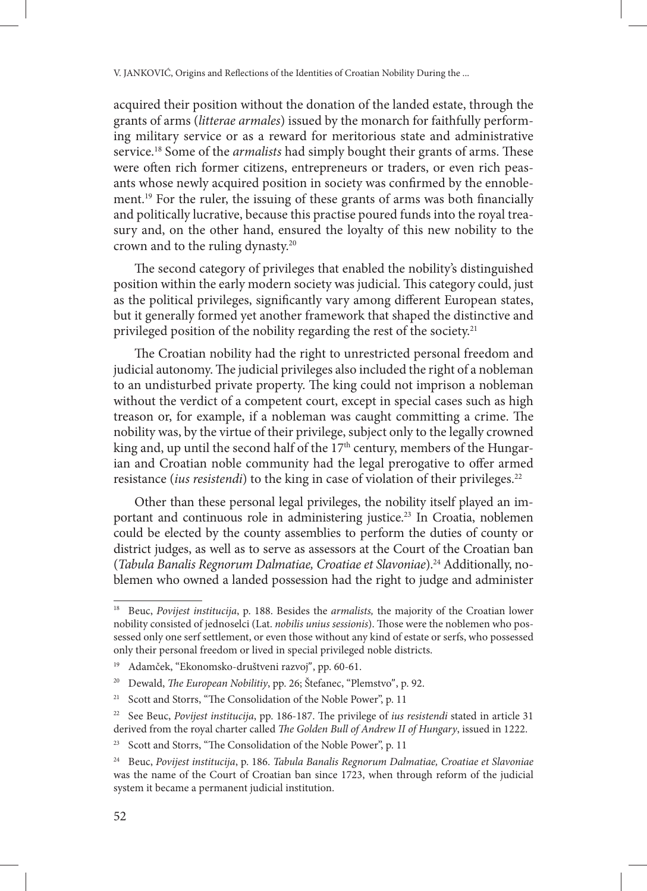acquired their position without the donation of the landed estate, through the grants of arms (*litterae armales*) issued by the monarch for faithfully performing military service or as a reward for meritorious state and administrative service.18 Some of the *armalists* had simply bought their grants of arms. These were often rich former citizens, entrepreneurs or traders, or even rich peasants whose newly acquired position in society was confirmed by the ennoblement.19 For the ruler, the issuing of these grants of arms was both financially and politically lucrative, because this practise poured funds into the royal treasury and, on the other hand, ensured the loyalty of this new nobility to the crown and to the ruling dynasty.20

The second category of privileges that enabled the nobility's distinguished position within the early modern society was judicial. This category could, just as the political privileges, significantly vary among different European states, but it generally formed yet another framework that shaped the distinctive and privileged position of the nobility regarding the rest of the society.<sup>21</sup>

The Croatian nobility had the right to unrestricted personal freedom and judicial autonomy. The judicial privileges also included the right of a nobleman to an undisturbed private property. The king could not imprison a nobleman without the verdict of a competent court, except in special cases such as high treason or, for example, if a nobleman was caught committing a crime. The nobility was, by the virtue of their privilege, subject only to the legally crowned king and, up until the second half of the  $17<sup>th</sup>$  century, members of the Hungarian and Croatian noble community had the legal prerogative to offer armed resistance (*ius resistendi*) to the king in case of violation of their privileges.<sup>22</sup>

Other than these personal legal privileges, the nobility itself played an important and continuous role in administering justice.<sup>23</sup> In Croatia, noblemen could be elected by the county assemblies to perform the duties of county or district judges, as well as to serve as assessors at the Court of the Croatian ban (*Tabula Banalis Regnorum Dalmatiae, Croatiae et Slavoniae*).24 Additionally, noblemen who owned a landed possession had the right to judge and administer

<sup>18</sup> Beuc, *Povijest institucija*, p. 188. Besides the *armalists,* the majority of the Croatian lower nobility consisted of jednoselci (Lat. *nobilis unius sessionis*). Those were the noblemen who possessed only one serf settlement, or even those without any kind of estate or serfs, who possessed only their personal freedom or lived in special privileged noble districts.

<sup>19</sup> Adamček, "Ekonomsko-društveni razvoj", pp. 60-61.

<sup>20</sup> Dewald, *The European Nobilitiy*, pp. 26; Štefanec, "Plemstvo", p. 92.

<sup>&</sup>lt;sup>21</sup> Scott and Storrs, "The Consolidation of the Noble Power", p. 11

<sup>22</sup> See Beuc, *Povijest institucija*, pp. 186-187. The privilege of *ius resistendi* stated in article 31 derived from the royal charter called *The Golden Bull of Andrew II of Hungary*, issued in 1222.

<sup>&</sup>lt;sup>23</sup> Scott and Storrs, "The Consolidation of the Noble Power", p. 11

<sup>24</sup> Beuc, *Povijest institucija*, p. 186. *Tabula Banalis Regnorum Dalmatiae, Croatiae et Slavoniae* was the name of the Court of Croatian ban since 1723, when through reform of the judicial system it became a permanent judicial institution.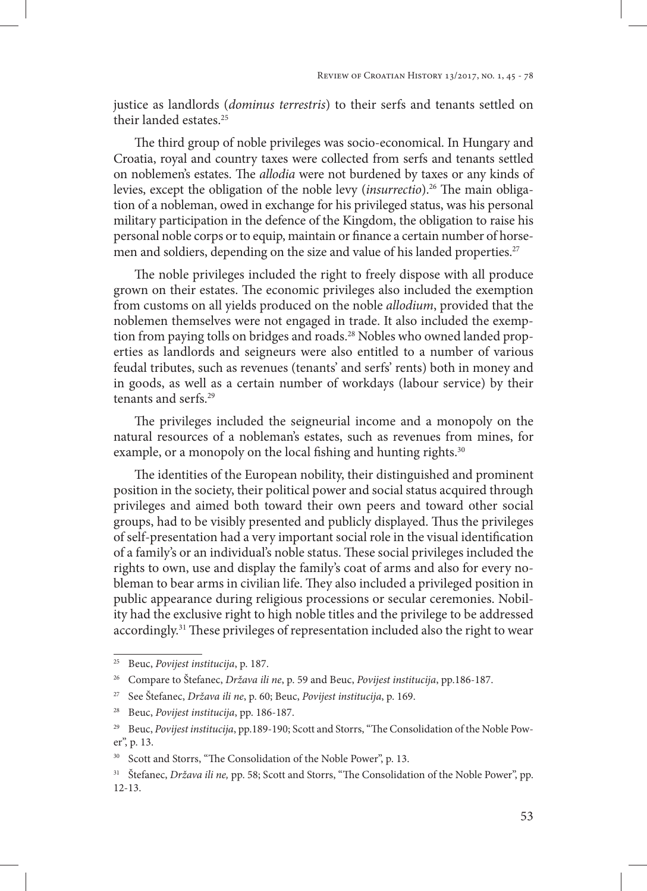justice as landlords (*dominus terrestris*) to their serfs and tenants settled on their landed estates.25

The third group of noble privileges was socio-economical. In Hungary and Croatia, royal and country taxes were collected from serfs and tenants settled on noblemen's estates. The *allodia* were not burdened by taxes or any kinds of levies, except the obligation of the noble levy (*insurrectio*).26 The main obligation of a nobleman, owed in exchange for his privileged status, was his personal military participation in the defence of the Kingdom, the obligation to raise his personal noble corps or to equip, maintain or finance a certain number of horsemen and soldiers, depending on the size and value of his landed properties.<sup>27</sup>

The noble privileges included the right to freely dispose with all produce grown on their estates. The economic privileges also included the exemption from customs on all yields produced on the noble *allodium*, provided that the noblemen themselves were not engaged in trade. It also included the exemption from paying tolls on bridges and roads.<sup>28</sup> Nobles who owned landed properties as landlords and seigneurs were also entitled to a number of various feudal tributes, such as revenues (tenants' and serfs' rents) both in money and in goods, as well as a certain number of workdays (labour service) by their tenants and serfs.29

The privileges included the seigneurial income and a monopoly on the natural resources of a nobleman's estates, such as revenues from mines, for example, or a monopoly on the local fishing and hunting rights.<sup>30</sup>

The identities of the European nobility, their distinguished and prominent position in the society, their political power and social status acquired through privileges and aimed both toward their own peers and toward other social groups, had to be visibly presented and publicly displayed. Thus the privileges of self-presentation had a very important social role in the visual identification of a family's or an individual's noble status. These social privileges included the rights to own, use and display the family's coat of arms and also for every nobleman to bear arms in civilian life. They also included a privileged position in public appearance during religious processions or secular ceremonies. Nobility had the exclusive right to high noble titles and the privilege to be addressed accordingly.31 These privileges of representation included also the right to wear

<sup>25</sup> Beuc, *Povijest institucija*, p. 187.

<sup>26</sup> Compare to Štefanec, *Država ili ne*, p. 59 and Beuc, *Povijest institucija*, pp.186-187.

<sup>27</sup> See Štefanec, *Država ili ne*, p. 60; Beuc, *Povijest institucija*, p. 169.

<sup>28</sup> Beuc, *Povijest institucija*, pp. 186-187.

<sup>&</sup>lt;sup>29</sup> Beuc, *Povijest institucija*, pp.189-190; Scott and Storrs, "The Consolidation of the Noble Power", p. 13.

<sup>&</sup>lt;sup>30</sup> Scott and Storrs, "The Consolidation of the Noble Power", p. 13.

<sup>&</sup>lt;sup>31</sup> Štefanec, *Država ili ne*, pp. 58; Scott and Storrs, "The Consolidation of the Noble Power", pp. 12-13.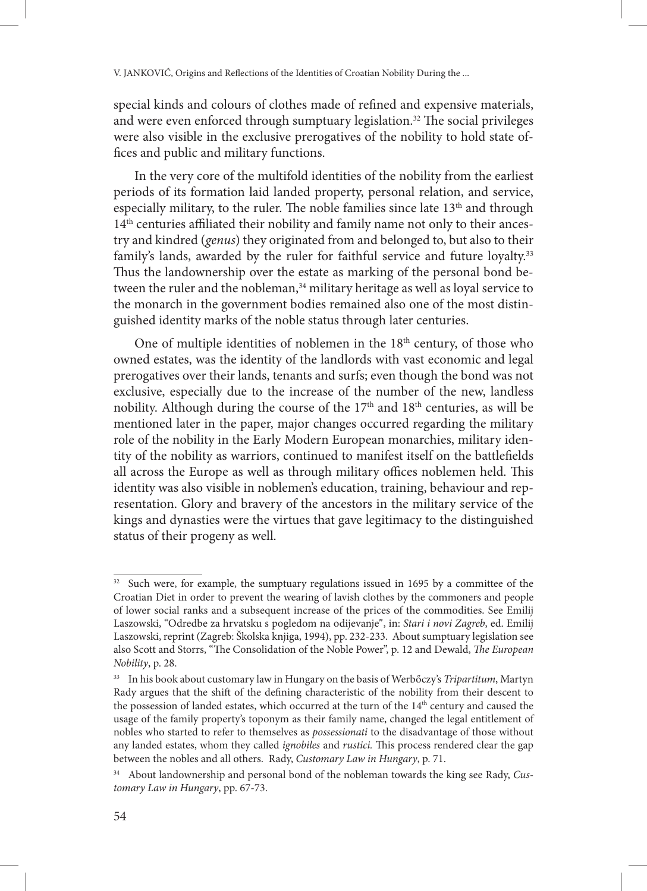special kinds and colours of clothes made of refined and expensive materials, and were even enforced through sumptuary legislation.<sup>32</sup> The social privileges were also visible in the exclusive prerogatives of the nobility to hold state offices and public and military functions.

In the very core of the multifold identities of the nobility from the earliest periods of its formation laid landed property, personal relation, and service, especially military, to the ruler. The noble families since late 13<sup>th</sup> and through 14<sup>th</sup> centuries affiliated their nobility and family name not only to their ancestry and kindred (*genus*) they originated from and belonged to, but also to their family's lands, awarded by the ruler for faithful service and future loyalty.<sup>33</sup> Thus the landownership over the estate as marking of the personal bond between the ruler and the nobleman,<sup>34</sup> military heritage as well as loyal service to the monarch in the government bodies remained also one of the most distinguished identity marks of the noble status through later centuries.

One of multiple identities of noblemen in the  $18<sup>th</sup>$  century, of those who owned estates, was the identity of the landlords with vast economic and legal prerogatives over their lands, tenants and surfs; even though the bond was not exclusive, especially due to the increase of the number of the new, landless nobility. Although during the course of the 17<sup>th</sup> and 18<sup>th</sup> centuries, as will be mentioned later in the paper, major changes occurred regarding the military role of the nobility in the Early Modern European monarchies, military identity of the nobility as warriors, continued to manifest itself on the battlefields all across the Europe as well as through military offices noblemen held. This identity was also visible in noblemen's education, training, behaviour and representation. Glory and bravery of the ancestors in the military service of the kings and dynasties were the virtues that gave legitimacy to the distinguished status of their progeny as well.

<sup>&</sup>lt;sup>32</sup> Such were, for example, the sumptuary regulations issued in 1695 by a committee of the Croatian Diet in order to prevent the wearing of lavish clothes by the commoners and people of lower social ranks and a subsequent increase of the prices of the commodities. See Emilij Laszowski, "Odredbe za hrvatsku s pogledom na odijevanje", in: *Stari i novi Zagreb*, ed. Emilij Laszowski, reprint (Zagreb: Školska knjiga, 1994), pp. 232-233. About sumptuary legislation see also Scott and Storrs, "The Consolidation of the Noble Power", p. 12 and Dewald, *The European Nobility*, p. 28.

<sup>33</sup> In his book about customary law in Hungary on the basis of Werbőczy's *Tripartitum*, Martyn Rady argues that the shift of the defining characteristic of the nobility from their descent to the possession of landed estates, which occurred at the turn of the  $14<sup>th</sup>$  century and caused the usage of the family property's toponym as their family name, changed the legal entitlement of nobles who started to refer to themselves as *possessionati* to the disadvantage of those without any landed estates, whom they called *ignobiles* and *rustici.* This process rendered clear the gap between the nobles and all others. Rady, *Customary Law in Hungary*, p. 71.

<sup>34</sup> About landownership and personal bond of the nobleman towards the king see Rady, *Customary Law in Hungary*, pp. 67-73.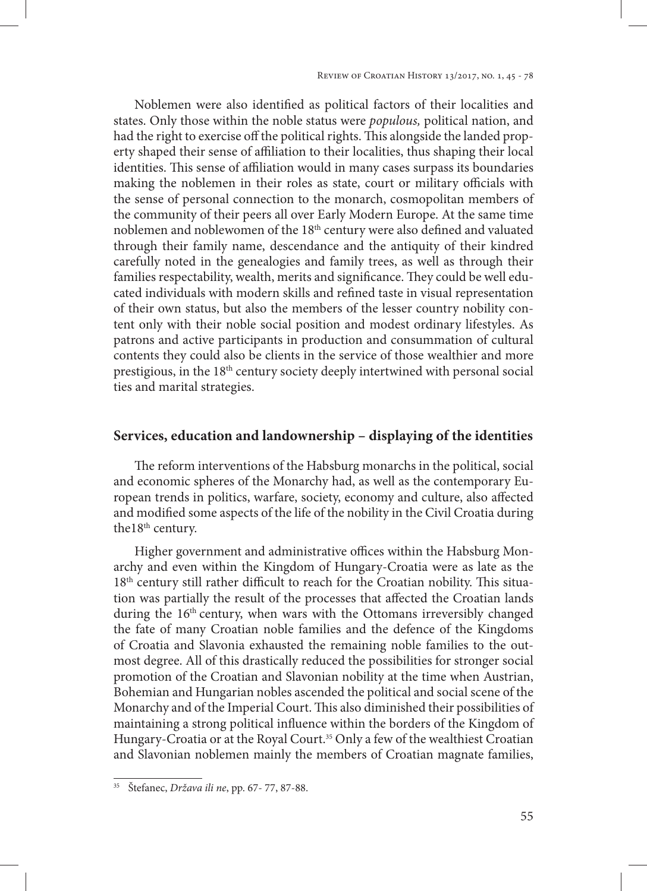Review of Croatian History 13/2017, no. 1, 45 - 78

Noblemen were also identified as political factors of their localities and states. Only those within the noble status were *populous,* political nation, and had the right to exercise off the political rights. This alongside the landed property shaped their sense of affiliation to their localities, thus shaping their local identities. This sense of affiliation would in many cases surpass its boundaries making the noblemen in their roles as state, court or military officials with the sense of personal connection to the monarch, cosmopolitan members of the community of their peers all over Early Modern Europe. At the same time noblemen and noblewomen of the 18<sup>th</sup> century were also defined and valuated through their family name, descendance and the antiquity of their kindred carefully noted in the genealogies and family trees, as well as through their families respectability, wealth, merits and significance. They could be well educated individuals with modern skills and refined taste in visual representation of their own status, but also the members of the lesser country nobility content only with their noble social position and modest ordinary lifestyles. As patrons and active participants in production and consummation of cultural contents they could also be clients in the service of those wealthier and more prestigious, in the 18<sup>th</sup> century society deeply intertwined with personal social ties and marital strategies.

### **Services, education and landownership – displaying of the identities**

The reform interventions of the Habsburg monarchs in the political, social and economic spheres of the Monarchy had, as well as the contemporary European trends in politics, warfare, society, economy and culture, also affected and modified some aspects of the life of the nobility in the Civil Croatia during the18<sup>th</sup> century.

Higher government and administrative offices within the Habsburg Monarchy and even within the Kingdom of Hungary-Croatia were as late as the 18<sup>th</sup> century still rather difficult to reach for the Croatian nobility. This situation was partially the result of the processes that affected the Croatian lands during the 16<sup>th</sup> century, when wars with the Ottomans irreversibly changed the fate of many Croatian noble families and the defence of the Kingdoms of Croatia and Slavonia exhausted the remaining noble families to the outmost degree. All of this drastically reduced the possibilities for stronger social promotion of the Croatian and Slavonian nobility at the time when Austrian, Bohemian and Hungarian nobles ascended the political and social scene of the Monarchy and of the Imperial Court. This also diminished their possibilities of maintaining a strong political influence within the borders of the Kingdom of Hungary-Croatia or at the Royal Court.<sup>35</sup> Only a few of the wealthiest Croatian and Slavonian noblemen mainly the members of Croatian magnate families,

<sup>35</sup> Štefanec, *Država ili ne*, pp. 67- 77, 87-88.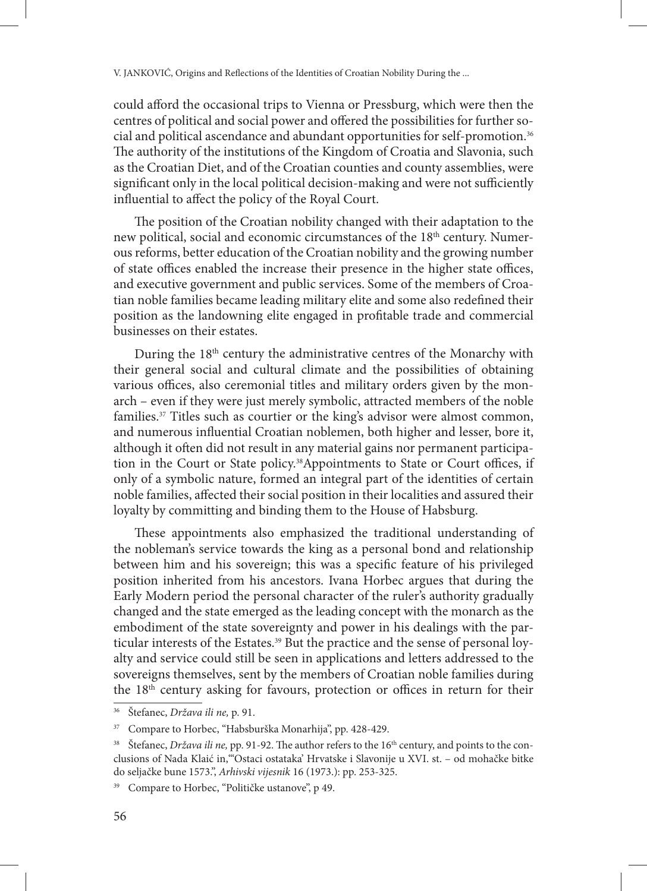could afford the occasional trips to Vienna or Pressburg, which were then the centres of political and social power and offered the possibilities for further social and political ascendance and abundant opportunities for self-promotion.36 The authority of the institutions of the Kingdom of Croatia and Slavonia, such as the Croatian Diet, and of the Croatian counties and county assemblies, were significant only in the local political decision-making and were not sufficiently influential to affect the policy of the Royal Court.

The position of the Croatian nobility changed with their adaptation to the new political, social and economic circumstances of the 18<sup>th</sup> century. Numerous reforms, better education of the Croatian nobility and the growing number of state offices enabled the increase their presence in the higher state offices, and executive government and public services. Some of the members of Croatian noble families became leading military elite and some also redefined their position as the landowning elite engaged in profitable trade and commercial businesses on their estates.

During the 18<sup>th</sup> century the administrative centres of the Monarchy with their general social and cultural climate and the possibilities of obtaining various offices, also ceremonial titles and military orders given by the monarch – even if they were just merely symbolic, attracted members of the noble families.<sup>37</sup> Titles such as courtier or the king's advisor were almost common, and numerous influential Croatian noblemen, both higher and lesser, bore it, although it often did not result in any material gains nor permanent participation in the Court or State policy.38Appointments to State or Court offices, if only of a symbolic nature, formed an integral part of the identities of certain noble families, affected their social position in their localities and assured their loyalty by committing and binding them to the House of Habsburg.

These appointments also emphasized the traditional understanding of the nobleman's service towards the king as a personal bond and relationship between him and his sovereign; this was a specific feature of his privileged position inherited from his ancestors. Ivana Horbec argues that during the Early Modern period the personal character of the ruler's authority gradually changed and the state emerged as the leading concept with the monarch as the embodiment of the state sovereignty and power in his dealings with the particular interests of the Estates.<sup>39</sup> But the practice and the sense of personal loyalty and service could still be seen in applications and letters addressed to the sovereigns themselves, sent by the members of Croatian noble families during the 18<sup>th</sup> century asking for favours, protection or offices in return for their

<sup>36</sup> Štefanec, *Država ili ne,* p. 91.

<sup>37</sup> Compare to Horbec, "Habsburška Monarhija", pp. 428-429.

<sup>&</sup>lt;sup>38</sup> Štefanec, *Država ili ne*, pp. 91-92. The author refers to the 16<sup>th</sup> century, and points to the conclusions of Nada Klaić in,"'Ostaci ostataka' Hrvatske i Slavonije u XVI. st. – od mohačke bitke do seljačke bune 1573.", *Arhivski vijesnik* 16 (1973.): pp. 253-325.

<sup>&</sup>lt;sup>39</sup> Compare to Horbec, "Političke ustanove", p 49.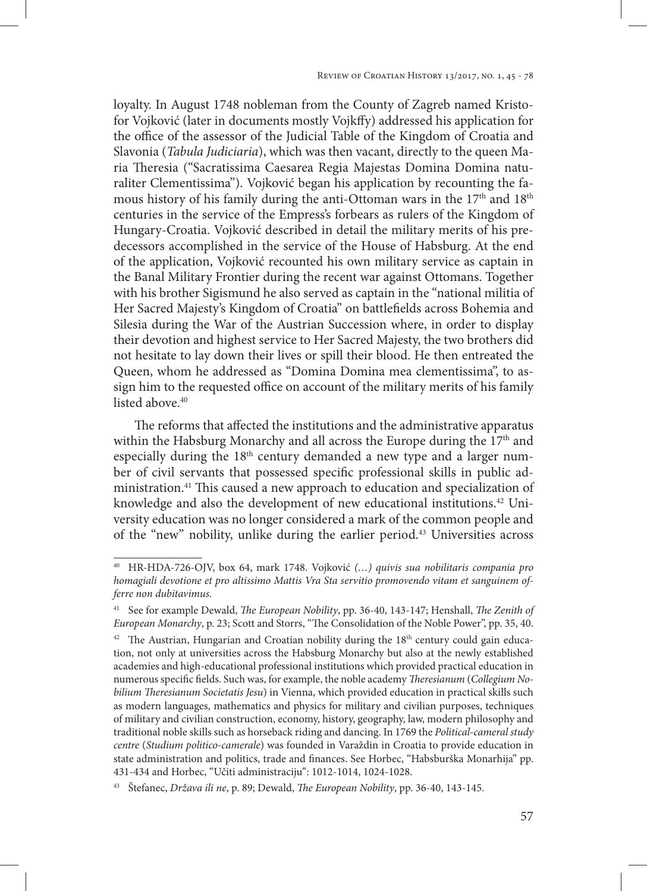loyalty. In August 1748 nobleman from the County of Zagreb named Kristofor Vojković (later in documents mostly Vojkffy) addressed his application for the office of the assessor of the Judicial Table of the Kingdom of Croatia and Slavonia (*Tabula Judiciaria*), which was then vacant, directly to the queen Maria Theresia ("Sacratissima Caesarea Regia Majestas Domina Domina naturaliter Clementissima"). Vojković began his application by recounting the famous history of his family during the anti-Ottoman wars in the 17<sup>th</sup> and 18<sup>th</sup> centuries in the service of the Empress's forbears as rulers of the Kingdom of Hungary-Croatia. Vojković described in detail the military merits of his predecessors accomplished in the service of the House of Habsburg. At the end of the application, Vojković recounted his own military service as captain in the Banal Military Frontier during the recent war against Ottomans. Together with his brother Sigismund he also served as captain in the "national militia of Her Sacred Majesty's Kingdom of Croatia" on battlefields across Bohemia and Silesia during the War of the Austrian Succession where, in order to display their devotion and highest service to Her Sacred Majesty, the two brothers did not hesitate to lay down their lives or spill their blood. He then entreated the Queen, whom he addressed as "Domina Domina mea clementissima", to assign him to the requested office on account of the military merits of his family listed above  $40$ 

The reforms that affected the institutions and the administrative apparatus within the Habsburg Monarchy and all across the Europe during the  $17<sup>th</sup>$  and especially during the 18<sup>th</sup> century demanded a new type and a larger number of civil servants that possessed specific professional skills in public administration.41 This caused a new approach to education and specialization of knowledge and also the development of new educational institutions.42 University education was no longer considered a mark of the common people and of the "new" nobility, unlike during the earlier period.43 Universities across

<sup>40</sup> HR-HDA-726-OJV, box 64, mark 1748. Vojković *(…) quivis sua nobilitaris compania pro homagiali devotione et pro altissimo Mattis Vra Sta servitio promovendo vitam et sanguinem offerre non dubitavimus.* 

<sup>41</sup> See for example Dewald, *The European Nobility*, pp. 36-40, 143-147; Henshall, *The Zenith of European Monarchy*, p. 23; Scott and Storrs, "The Consolidation of the Noble Power", pp. 35, 40.

 $42$  The Austrian, Hungarian and Croatian nobility during the  $18<sup>th</sup>$  century could gain education, not only at universities across the Habsburg Monarchy but also at the newly established academies and high-educational professional institutions which provided practical education in numerous specific fields. Such was, for example, the noble academy *Theresianum* (*Collegium Nobilium Theresianum Societatis Jesu*) in Vienna, which provided education in practical skills such as modern languages, mathematics and physics for military and civilian purposes, techniques of military and civilian construction, economy, history, geography, law, modern philosophy and traditional noble skills such as horseback riding and dancing. In 1769 the *Political-cameral study centre* (*Studium politico-camerale*) was founded in Varaždin in Croatia to provide education in state administration and politics, trade and finances. See Horbec, "Habsburška Monarhija" pp. 431-434 and Horbec, "Učiti administraciju": 1012-1014, 1024-1028.

<sup>43</sup> Štefanec, *Država ili ne*, p. 89; Dewald, *The European Nobility*, pp. 36-40, 143-145.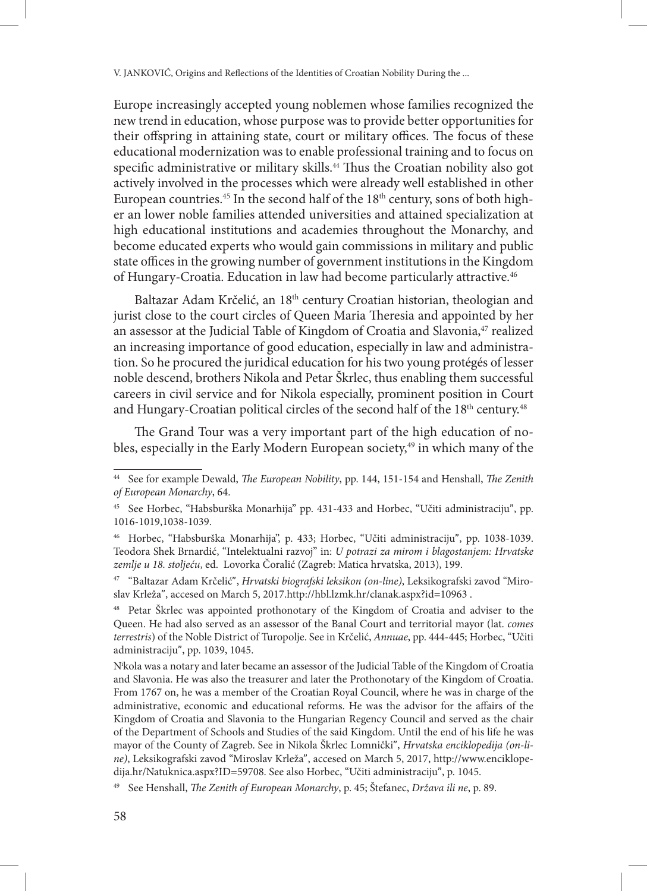Europe increasingly accepted young noblemen whose families recognized the new trend in education, whose purpose was to provide better opportunities for their offspring in attaining state, court or military offices. The focus of these educational modernization was to enable professional training and to focus on specific administrative or military skills.<sup>44</sup> Thus the Croatian nobility also got actively involved in the processes which were already well established in other European countries.<sup>45</sup> In the second half of the 18<sup>th</sup> century, sons of both higher an lower noble families attended universities and attained specialization at high educational institutions and academies throughout the Monarchy, and become educated experts who would gain commissions in military and public state offices in the growing number of government institutions in the Kingdom of Hungary-Croatia. Education in law had become particularly attractive.<sup>46</sup>

Baltazar Adam Krčelić, an 18<sup>th</sup> century Croatian historian, theologian and jurist close to the court circles of Queen Maria Theresia and appointed by her an assessor at the Judicial Table of Kingdom of Croatia and Slavonia,<sup>47</sup> realized an increasing importance of good education, especially in law and administration. So he procured the juridical education for his two young protégés of lesser noble descend, brothers Nikola and Petar Škrlec, thus enabling them successful careers in civil service and for Nikola especially, prominent position in Court and Hungary-Croatian political circles of the second half of the 18<sup>th</sup> century.<sup>48</sup>

The Grand Tour was a very important part of the high education of nobles, especially in the Early Modern European society, $49$  in which many of the

<sup>44</sup> See for example Dewald, *The European Nobility*, pp. 144, 151-154 and Henshall, *The Zenith of European Monarchy*, 64.

<sup>45</sup> See Horbec, "Habsburška Monarhija" pp. 431-433 and Horbec, "Učiti administraciju", pp. 1016-1019,1038-1039.

<sup>46</sup> Horbec, "Habsburška Monarhija", p. 433; Horbec, "Učiti administraciju", pp. 1038-1039. Teodora Shek Brnardić, "Intelektualni razvoj" in: *U potrazi za mirom i blagostanjem: Hrvatske zemlje u 18. stoljeću*, ed. Lovorka Čoralić (Zagreb: Matica hrvatska, 2013), 199.

<sup>47</sup> "Baltazar Adam Krčelić", *Hrvatski biografski leksikon (on-line)*, Leksikografski zavod "Miroslav Krleža", accesed on March 5, 2017.http://hbl.lzmk.hr/clanak.aspx?id=10963 .

<sup>&</sup>lt;sup>48</sup> Petar Škrlec was appointed prothonotary of the Kingdom of Croatia and adviser to the Queen. He had also served as an assessor of the Banal Court and territorial mayor (lat. *comes terrestris*) of the Noble District of Turopolje. See in Krčelić, *Annuae*, pp. 444-445; Horbec, "Učiti administraciju", pp. 1039, 1045.

Ni kola was a notary and later became an assessor of the Judicial Table of the Kingdom of Croatia and Slavonia. He was also the treasurer and later the Prothonotary of the Kingdom of Croatia. From 1767 on, he was a member of the Croatian Royal Council, where he was in charge of the administrative, economic and educational reforms. He was the advisor for the affairs of the Kingdom of Croatia and Slavonia to the Hungarian Regency Council and served as the chair of the Department of Schools and Studies of the said Kingdom. Until the end of his life he was mayor of the County of Zagreb. See in Nikola Škrlec Lomnički", *Hrvatska enciklopedija (on-line)*, Leksikografski zavod "Miroslav Krleža", accesed on March 5, 2017, http://www.enciklopedija.hr/Natuknica.aspx?ID=59708. See also Horbec, "Učiti administraciju", p. 1045.

<sup>49</sup> See Henshall, *The Zenith of European Monarchy*, p. 45; Štefanec, *Država ili ne*, p. 89.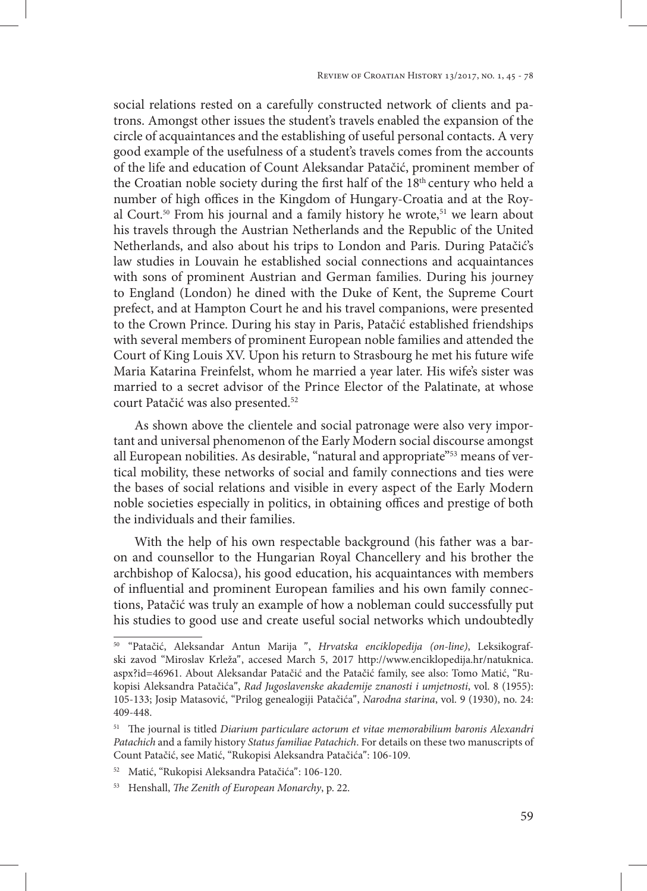social relations rested on a carefully constructed network of clients and patrons. Amongst other issues the student's travels enabled the expansion of the circle of acquaintances and the establishing of useful personal contacts. A very good example of the usefulness of a student's travels comes from the accounts of the life and education of Count Aleksandar Patačić, prominent member of the Croatian noble society during the first half of the 18<sup>th</sup> century who held a number of high offices in the Kingdom of Hungary-Croatia and at the Royal Court.<sup>50</sup> From his journal and a family history he wrote,<sup>51</sup> we learn about his travels through the Austrian Netherlands and the Republic of the United Netherlands, and also about his trips to London and Paris. During Patačić's law studies in Louvain he established social connections and acquaintances with sons of prominent Austrian and German families. During his journey to England (London) he dined with the Duke of Kent, the Supreme Court prefect, and at Hampton Court he and his travel companions, were presented to the Crown Prince. During his stay in Paris, Patačić established friendships with several members of prominent European noble families and attended the Court of King Louis XV. Upon his return to Strasbourg he met his future wife Maria Katarina Freinfelst, whom he married a year later. His wife's sister was married to a secret advisor of the Prince Elector of the Palatinate, at whose court Patačić was also presented.52

As shown above the clientele and social patronage were also very important and universal phenomenon of the Early Modern social discourse amongst all European nobilities. As desirable, "natural and appropriate"<sup>53</sup> means of vertical mobility, these networks of social and family connections and ties were the bases of social relations and visible in every aspect of the Early Modern noble societies especially in politics, in obtaining offices and prestige of both the individuals and their families.

With the help of his own respectable background (his father was a baron and counsellor to the Hungarian Royal Chancellery and his brother the archbishop of Kalocsa), his good education, his acquaintances with members of influential and prominent European families and his own family connections, Patačić was truly an example of how a nobleman could successfully put his studies to good use and create useful social networks which undoubtedly

<sup>50</sup> "Patačić, Aleksandar Antun Marija ", *Hrvatska enciklopedija (on-line)*, Leksikografski zavod "Miroslav Krleža", accesed March 5, 2017 http://www.enciklopedija.hr/natuknica. aspx?id=46961. About Aleksandar Patačić and the Patačić family, see also: Tomo Matić, "Rukopisi Aleksandra Patačića", *Rad Jugoslavenske akademije znanosti i umjetnosti*, vol. 8 (1955): 105-133; Josip Matasović, "Prilog genealogiji Patačića", *Narodna starina*, vol. 9 (1930), no. 24: 409-448.

<sup>51</sup> The journal is titled *Diarium particulare actorum et vitae memorabilium baronis Alexandri Patachich* and a family history *Status familiae Patachich*. For details on these two manuscripts of Count Patačić, see Matić, "Rukopisi Aleksandra Patačića": 106-109.

<sup>52</sup> Matić, "Rukopisi Aleksandra Patačića": 106-120.

<sup>53</sup> Henshall, *The Zenith of European Monarchy*, p. 22.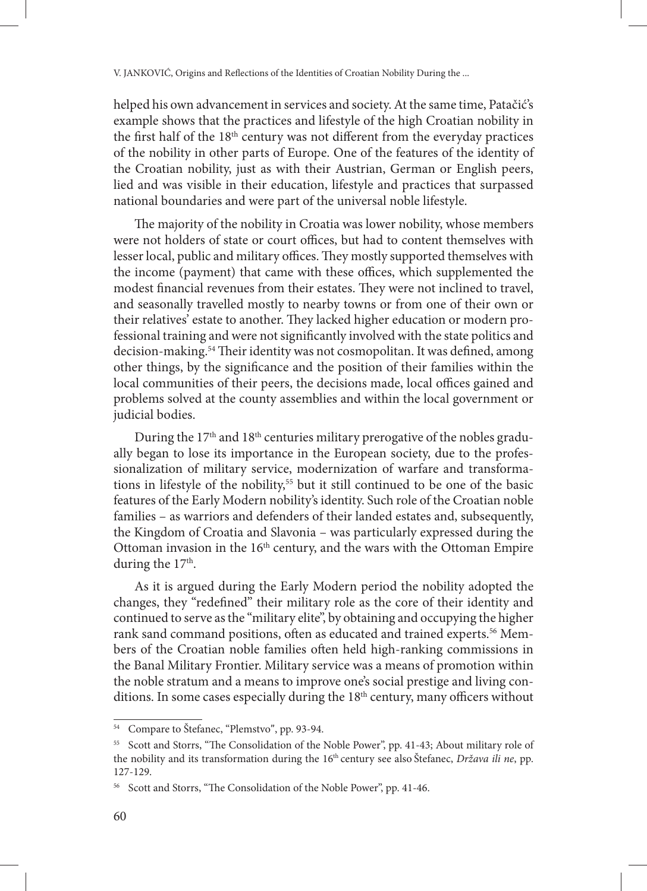helped his own advancement in services and society. At the same time, Patačić's example shows that the practices and lifestyle of the high Croatian nobility in the first half of the  $18<sup>th</sup>$  century was not different from the everyday practices of the nobility in other parts of Europe. One of the features of the identity of the Croatian nobility, just as with their Austrian, German or English peers, lied and was visible in their education, lifestyle and practices that surpassed national boundaries and were part of the universal noble lifestyle.

The majority of the nobility in Croatia was lower nobility, whose members were not holders of state or court offices, but had to content themselves with lesser local, public and military offices. They mostly supported themselves with the income (payment) that came with these offices, which supplemented the modest financial revenues from their estates. They were not inclined to travel, and seasonally travelled mostly to nearby towns or from one of their own or their relatives' estate to another. They lacked higher education or modern professional training and were not significantly involved with the state politics and decision-making.<sup>54</sup> Their identity was not cosmopolitan. It was defined, among other things, by the significance and the position of their families within the local communities of their peers, the decisions made, local offices gained and problems solved at the county assemblies and within the local government or judicial bodies.

During the 17<sup>th</sup> and 18<sup>th</sup> centuries military prerogative of the nobles gradually began to lose its importance in the European society, due to the professionalization of military service, modernization of warfare and transformations in lifestyle of the nobility,<sup>55</sup> but it still continued to be one of the basic features of the Early Modern nobility's identity. Such role of the Croatian noble families – as warriors and defenders of their landed estates and, subsequently, the Kingdom of Croatia and Slavonia – was particularly expressed during the Ottoman invasion in the 16th century, and the wars with the Ottoman Empire during the 17<sup>th</sup>.

As it is argued during the Early Modern period the nobility adopted the changes, they "redefined" their military role as the core of their identity and continued to serve as the "military elite", by obtaining and occupying the higher rank sand command positions, often as educated and trained experts.<sup>56</sup> Members of the Croatian noble families often held high-ranking commissions in the Banal Military Frontier. Military service was a means of promotion within the noble stratum and a means to improve one's social prestige and living conditions. In some cases especially during the 18<sup>th</sup> century, many officers without

<sup>54</sup> Compare to Štefanec, "Plemstvo", pp. 93-94.

<sup>&</sup>lt;sup>55</sup> Scott and Storrs, "The Consolidation of the Noble Power", pp. 41-43; About military role of the nobility and its transformation during the 16<sup>th</sup> century see also Štefanec, *Država ili ne*, pp. 127-129.

<sup>56</sup> Scott and Storrs, "The Consolidation of the Noble Power", pp. 41-46.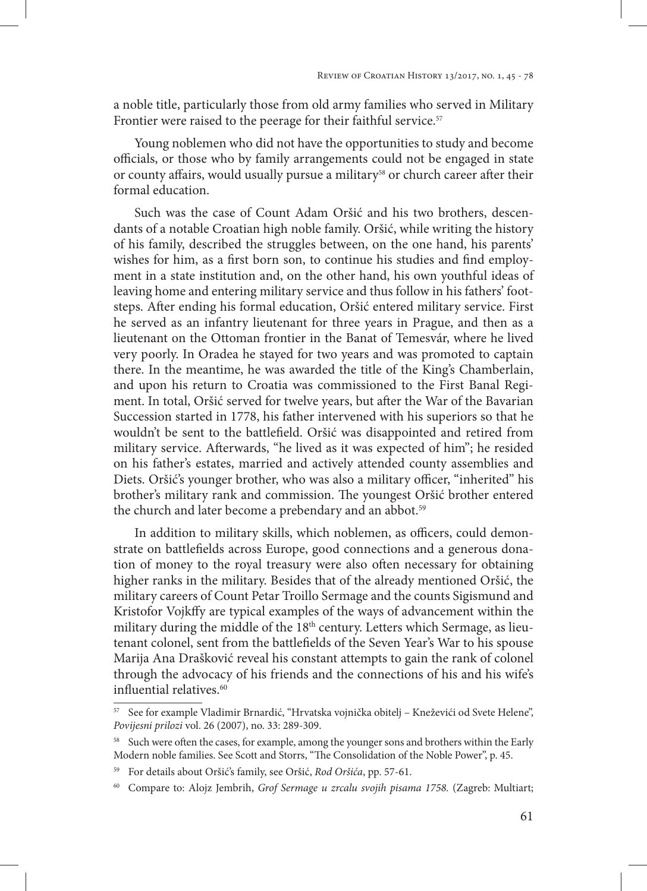a noble title, particularly those from old army families who served in Military Frontier were raised to the peerage for their faithful service.<sup>57</sup>

Young noblemen who did not have the opportunities to study and become officials, or those who by family arrangements could not be engaged in state or county affairs, would usually pursue a military<sup>58</sup> or church career after their formal education.

Such was the case of Count Adam Oršić and his two brothers, descendants of a notable Croatian high noble family. Oršić, while writing the history of his family, described the struggles between, on the one hand, his parents' wishes for him, as a first born son, to continue his studies and find employment in a state institution and, on the other hand, his own youthful ideas of leaving home and entering military service and thus follow in his fathers' footsteps. After ending his formal education, Oršić entered military service. First he served as an infantry lieutenant for three years in Prague, and then as a lieutenant on the Ottoman frontier in the Banat of Temesvár, where he lived very poorly. In Oradea he stayed for two years and was promoted to captain there. In the meantime, he was awarded the title of the King's Chamberlain, and upon his return to Croatia was commissioned to the First Banal Regiment. In total, Oršić served for twelve years, but after the War of the Bavarian Succession started in 1778, his father intervened with his superiors so that he wouldn't be sent to the battlefield. Oršić was disappointed and retired from military service. Afterwards, "he lived as it was expected of him"; he resided on his father's estates, married and actively attended county assemblies and Diets. Oršić's younger brother, who was also a military officer, "inherited" his brother's military rank and commission. The youngest Oršić brother entered the church and later become a prebendary and an abbot.<sup>59</sup>

In addition to military skills, which noblemen, as officers, could demonstrate on battlefields across Europe, good connections and a generous donation of money to the royal treasury were also often necessary for obtaining higher ranks in the military. Besides that of the already mentioned Oršić, the military careers of Count Petar Troillo Sermage and the counts Sigismund and Kristofor Vojkffy are typical examples of the ways of advancement within the military during the middle of the 18<sup>th</sup> century. Letters which Sermage, as lieutenant colonel, sent from the battlefields of the Seven Year's War to his spouse Marija Ana Drašković reveal his constant attempts to gain the rank of colonel through the advocacy of his friends and the connections of his and his wife's influential relatives.<sup>60</sup>

<sup>57</sup> See for example Vladimir Brnardić, "Hrvatska vojnička obitelj – Kneževići od Svete Helene", *Povijesni prilozi* vol. 26 (2007), no. 33: 289-309.

Such were often the cases, for example, among the younger sons and brothers within the Early Modern noble families. See Scott and Storrs, "The Consolidation of the Noble Power", p. 45.

<sup>59</sup> For details about Oršić's family, see Oršić, *Rod Oršića*, pp. 57-61.

<sup>60</sup> Compare to: Alojz Jembrih, *Grof Sermage u zrcalu svojih pisama 1758.* (Zagreb: Multiart;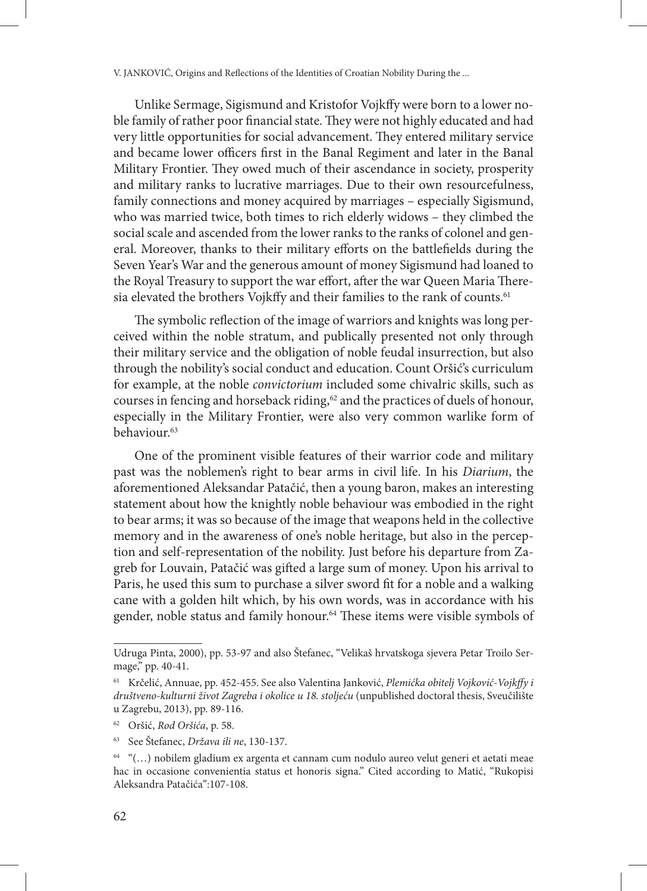Unlike Sermage, Sigismund and Kristofor Vojkffy were born to a lower noble family of rather poor financial state. They were not highly educated and had very little opportunities for social advancement. They entered military service and became lower officers first in the Banal Regiment and later in the Banal Military Frontier. They owed much of their ascendance in society, prosperity and military ranks to lucrative marriages. Due to their own resourcefulness, family connections and money acquired by marriages – especially Sigismund, who was married twice, both times to rich elderly widows – they climbed the social scale and ascended from the lower ranks to the ranks of colonel and general. Moreover, thanks to their military efforts on the battlefields during the Seven Year's War and the generous amount of money Sigismund had loaned to the Royal Treasury to support the war effort, after the war Queen Maria Theresia elevated the brothers Vojkffy and their families to the rank of counts.<sup>61</sup>

The symbolic reflection of the image of warriors and knights was long perceived within the noble stratum, and publically presented not only through their military service and the obligation of noble feudal insurrection, but also through the nobility's social conduct and education. Count Oršić's curriculum for example, at the noble *convictorium* included some chivalric skills, such as courses in fencing and horseback riding,<sup>62</sup> and the practices of duels of honour, especially in the Military Frontier, were also very common warlike form of behaviour.<sup>63</sup>

One of the prominent visible features of their warrior code and military past was the noblemen's right to bear arms in civil life. In his *Diarium*, the aforementioned Aleksandar Patačić, then a young baron, makes an interesting statement about how the knightly noble behaviour was embodied in the right to bear arms; it was so because of the image that weapons held in the collective memory and in the awareness of one's noble heritage, but also in the perception and self-representation of the nobility. Just before his departure from Zagreb for Louvain, Patačić was gifted a large sum of money. Upon his arrival to Paris, he used this sum to purchase a silver sword fit for a noble and a walking cane with a golden hilt which, by his own words, was in accordance with his gender, noble status and family honour.<sup>64</sup> These items were visible symbols of

Udruga Pinta, 2000), pp. 53-97 and also Štefanec, "Velikaš hrvatskoga sjevera Petar Troilo Sermage," pp. 40-41.

<sup>61</sup> Krčelić, Annuae, pp. 452-455. See also Valentina Janković, *Plemićka obitelj Vojković-Vojkffy i društveno-kulturni život Zagreba i okolice u 18. stoljeću* (unpublished doctoral thesis, Sveučilište u Zagrebu, 2013), pp. 89-116.

<sup>62</sup> Oršić, *Rod Oršića*, p. 58.

<sup>63</sup> See Štefanec, *Država ili ne*, 130-137.

<sup>64</sup> "(…) nobilem gladium ex argenta et cannam cum nodulo aureo velut generi et aetati meae hac in occasione convenientia status et honoris signa." Cited according to Matić, "Rukopisi Aleksandra Patačića":107-108.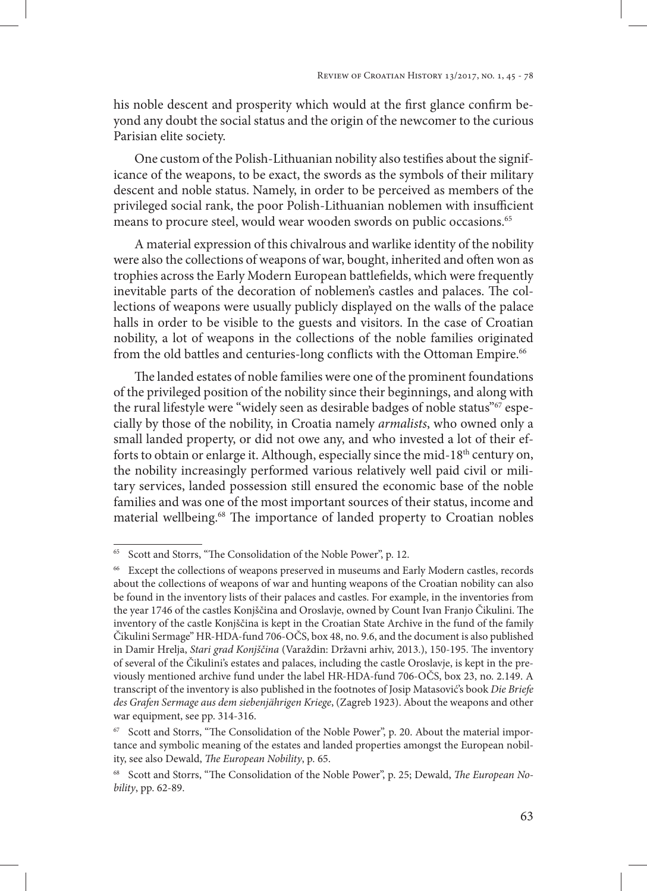his noble descent and prosperity which would at the first glance confirm beyond any doubt the social status and the origin of the newcomer to the curious Parisian elite society.

One custom of the Polish-Lithuanian nobility also testifies about the significance of the weapons, to be exact, the swords as the symbols of their military descent and noble status. Namely, in order to be perceived as members of the privileged social rank, the poor Polish-Lithuanian noblemen with insufficient means to procure steel, would wear wooden swords on public occasions.<sup>65</sup>

A material expression of this chivalrous and warlike identity of the nobility were also the collections of weapons of war, bought, inherited and often won as trophies across the Early Modern European battlefields, which were frequently inevitable parts of the decoration of noblemen's castles and palaces. The collections of weapons were usually publicly displayed on the walls of the palace halls in order to be visible to the guests and visitors. In the case of Croatian nobility, a lot of weapons in the collections of the noble families originated from the old battles and centuries-long conflicts with the Ottoman Empire.<sup>66</sup>

The landed estates of noble families were one of the prominent foundations of the privileged position of the nobility since their beginnings, and along with the rural lifestyle were "widely seen as desirable badges of noble status"67 especially by those of the nobility, in Croatia namely *armalists*, who owned only a small landed property, or did not owe any, and who invested a lot of their efforts to obtain or enlarge it. Although, especially since the mid-18<sup>th</sup> century on, the nobility increasingly performed various relatively well paid civil or military services, landed possession still ensured the economic base of the noble families and was one of the most important sources of their status, income and material wellbeing.<sup>68</sup> The importance of landed property to Croatian nobles

<sup>65</sup> Scott and Storrs, "The Consolidation of the Noble Power", p. 12.

<sup>66</sup> Except the collections of weapons preserved in museums and Early Modern castles, records about the collections of weapons of war and hunting weapons of the Croatian nobility can also be found in the inventory lists of their palaces and castles. For example, in the inventories from the year 1746 of the castles Konjščina and Oroslavje, owned by Count Ivan Franjo Čikulini. The inventory of the castle Konjščina is kept in the Croatian State Archive in the fund of the family Čikulini Sermage" HR-HDA-fund 706-OČS, box 48, no. 9.6, and the document is also published in Damir Hrelja, *Stari grad Konjščina* (Varaždin: Državni arhiv, 2013.), 150-195. The inventory of several of the Čikulini's estates and palaces, including the castle Oroslavje, is kept in the previously mentioned archive fund under the label HR-HDA-fund 706-OČS, box 23, no. 2.149. A transcript of the inventory is also published in the footnotes of Josip Matasović's book *Die Briefe des Grafen Sermage aus dem siebenjährigen Kriege*, (Zagreb 1923). About the weapons and other war equipment, see pp. 314-316.

<sup>&</sup>lt;sup>67</sup> Scott and Storrs, "The Consolidation of the Noble Power", p. 20. About the material importance and symbolic meaning of the estates and landed properties amongst the European nobility, see also Dewald, *The European Nobility*, p. 65.

<sup>68</sup> Scott and Storrs, "The Consolidation of the Noble Power", p. 25; Dewald, *The European Nobility*, pp. 62-89.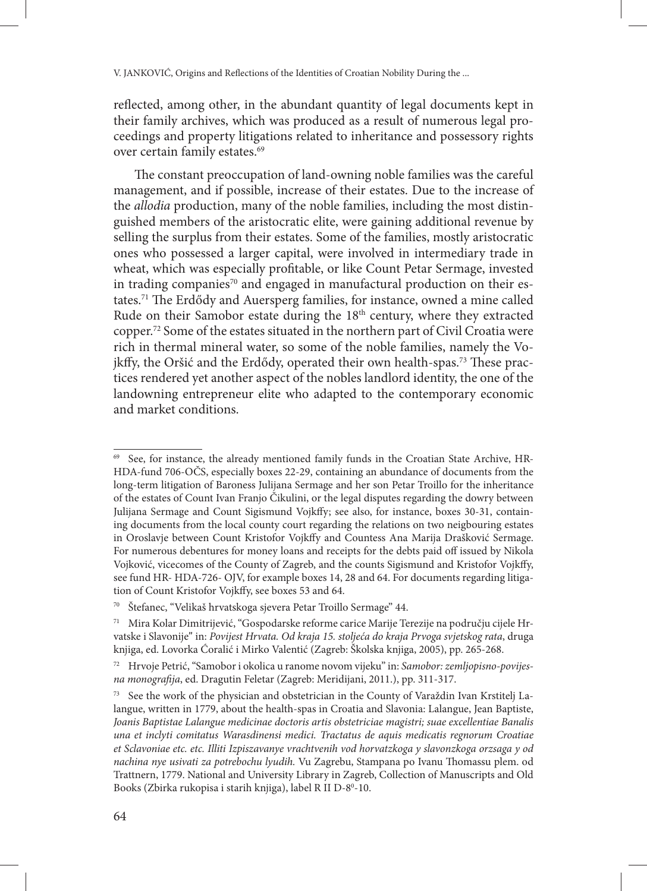reflected, among other, in the abundant quantity of legal documents kept in their family archives, which was produced as a result of numerous legal proceedings and property litigations related to inheritance and possessory rights over certain family estates.<sup>69</sup>

The constant preoccupation of land-owning noble families was the careful management, and if possible, increase of their estates. Due to the increase of the *allodia* production, many of the noble families, including the most distinguished members of the aristocratic elite, were gaining additional revenue by selling the surplus from their estates. Some of the families, mostly aristocratic ones who possessed a larger capital, were involved in intermediary trade in wheat, which was especially profitable, or like Count Petar Sermage, invested in trading companies<sup>70</sup> and engaged in manufactural production on their estates.71 The Erdődy and Auersperg families, for instance, owned a mine called Rude on their Samobor estate during the 18<sup>th</sup> century, where they extracted copper.72 Some of the estates situated in the northern part of Civil Croatia were rich in thermal mineral water, so some of the noble families, namely the Vojkffy, the Oršić and the Erdődy, operated their own health-spas.<sup>73</sup> These practices rendered yet another aspect of the nobles landlord identity, the one of the landowning entrepreneur elite who adapted to the contemporary economic and market conditions.

<sup>69</sup> See, for instance, the already mentioned family funds in the Croatian State Archive, HR-HDA-fund 706-OČS, especially boxes 22-29, containing an abundance of documents from the long-term litigation of Baroness Julijana Sermage and her son Petar Troillo for the inheritance of the estates of Count Ivan Franjo Čikulini, or the legal disputes regarding the dowry between Julijana Sermage and Count Sigismund Vojkffy; see also, for instance, boxes 30-31, containing documents from the local county court regarding the relations on two neigbouring estates in Oroslavje between Count Kristofor Vojkffy and Countess Ana Marija Drašković Sermage. For numerous debentures for money loans and receipts for the debts paid off issued by Nikola Vojković, vicecomes of the County of Zagreb, and the counts Sigismund and Kristofor Vojkffy, see fund HR- HDA-726- OJV, for example boxes 14, 28 and 64. For documents regarding litigation of Count Kristofor Vojkffy, see boxes 53 and 64.

<sup>70</sup> Štefanec, "Velikaš hrvatskoga sjevera Petar Troillo Sermage" 44.

<sup>71</sup> Mira Kolar Dimitrijević, "Gospodarske reforme carice Marije Terezije na području cijele Hrvatske i Slavonije" in: *Povijest Hrvata. Od kraja 15. stoljeća do kraja Prvoga svjetskog rata*, druga knjiga, ed. Lovorka Ćoralić i Mirko Valentić (Zagreb: Školska knjiga, 2005), pp. 265-268.

<sup>72</sup> Hrvoje Petrić, "Samobor i okolica u ranome novom vijeku" in: *Samobor: zemljopisno-povijesna monografija*, ed. Dragutin Feletar (Zagreb: Meridijani, 2011.), pp. 311-317.

See the work of the physician and obstetrician in the County of Varaždin Ivan Krstitelj Lalangue, written in 1779, about the health-spas in Croatia and Slavonia: Lalangue, Jean Baptiste, *Joanis Baptistae Lalangue medicinae doctoris artis obstetriciae magistri; suae excellentiae Banalis una et inclyti comitatus Warasdinensi medici. Tractatus de aquis medicatis regnorum Croatiae et Sclavoniae etc. etc. Illiti Izpiszavanye vrachtvenih vod horvatzkoga y slavonzkoga orzsaga y od nachina nye usivati za potrebochu lyudih.* Vu Zagrebu, Stampana po Ivanu Thomassu plem. od Trattnern, 1779. National and University Library in Zagreb, Collection of Manuscripts and Old Books (Zbirka rukopisa i starih knjiga), label R II D-8º-10.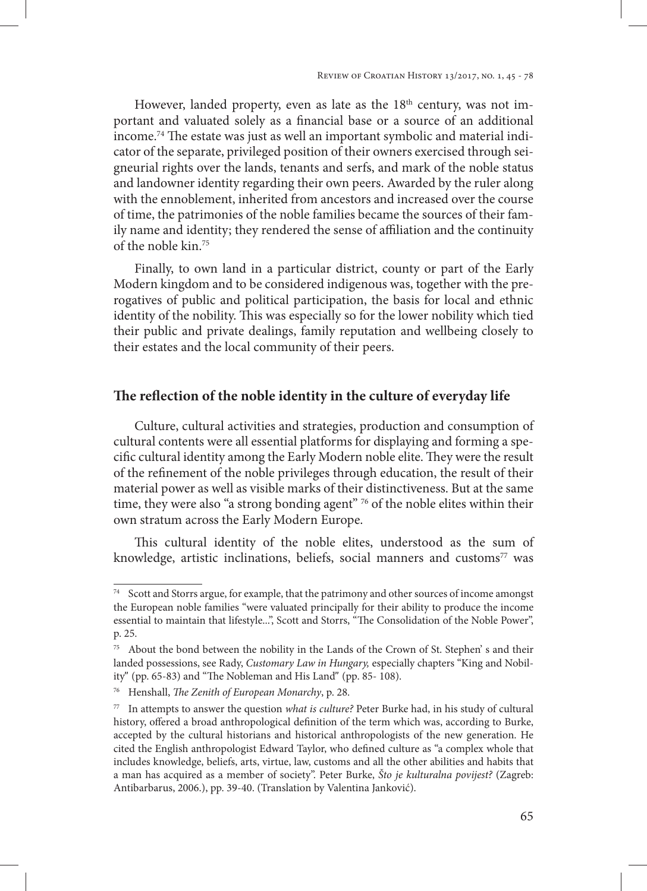However, landed property, even as late as the  $18<sup>th</sup>$  century, was not important and valuated solely as a financial base or a source of an additional income.74 The estate was just as well an important symbolic and material indicator of the separate, privileged position of their owners exercised through seigneurial rights over the lands, tenants and serfs, and mark of the noble status and landowner identity regarding their own peers. Awarded by the ruler along with the ennoblement, inherited from ancestors and increased over the course of time, the patrimonies of the noble families became the sources of their family name and identity; they rendered the sense of affiliation and the continuity of the noble kin.75

Finally, to own land in a particular district, county or part of the Early Modern kingdom and to be considered indigenous was, together with the prerogatives of public and political participation, the basis for local and ethnic identity of the nobility. This was especially so for the lower nobility which tied their public and private dealings, family reputation and wellbeing closely to their estates and the local community of their peers.

### **The reflection of the noble identity in the culture of everyday life**

Culture, cultural activities and strategies, production and consumption of cultural contents were all essential platforms for displaying and forming a specific cultural identity among the Early Modern noble elite. They were the result of the refinement of the noble privileges through education, the result of their material power as well as visible marks of their distinctiveness. But at the same time, they were also "a strong bonding agent" <sup>76</sup> of the noble elites within their own stratum across the Early Modern Europe.

This cultural identity of the noble elites, understood as the sum of knowledge, artistic inclinations, beliefs, social manners and customs<sup>77</sup> was

<sup>&</sup>lt;sup>74</sup> Scott and Storrs argue, for example, that the patrimony and other sources of income amongst the European noble families "were valuated principally for their ability to produce the income essential to maintain that lifestyle...", Scott and Storrs, "The Consolidation of the Noble Power", p. 25.

<sup>75</sup> About the bond between the nobility in the Lands of the Crown of St. Stephen' s and their landed possessions, see Rady, *Customary Law in Hungary,* especially chapters "King and Nobility" (pp. 65-83) and "The Nobleman and His Land" (pp. 85- 108).

<sup>76</sup> Henshall, *The Zenith of European Monarchy*, p. 28.

<sup>77</sup> In attempts to answer the question *what is culture?* Peter Burke had, in his study of cultural history, offered a broad anthropological definition of the term which was, according to Burke, accepted by the cultural historians and historical anthropologists of the new generation. He cited the English anthropologist Edward Taylor, who defined culture as "a complex whole that includes knowledge, beliefs, arts, virtue, law, customs and all the other abilities and habits that a man has acquired as a member of society". Peter Burke, *Što je kulturalna povijest?* (Zagreb: Antibarbarus, 2006.), pp. 39-40. (Translation by Valentina Janković).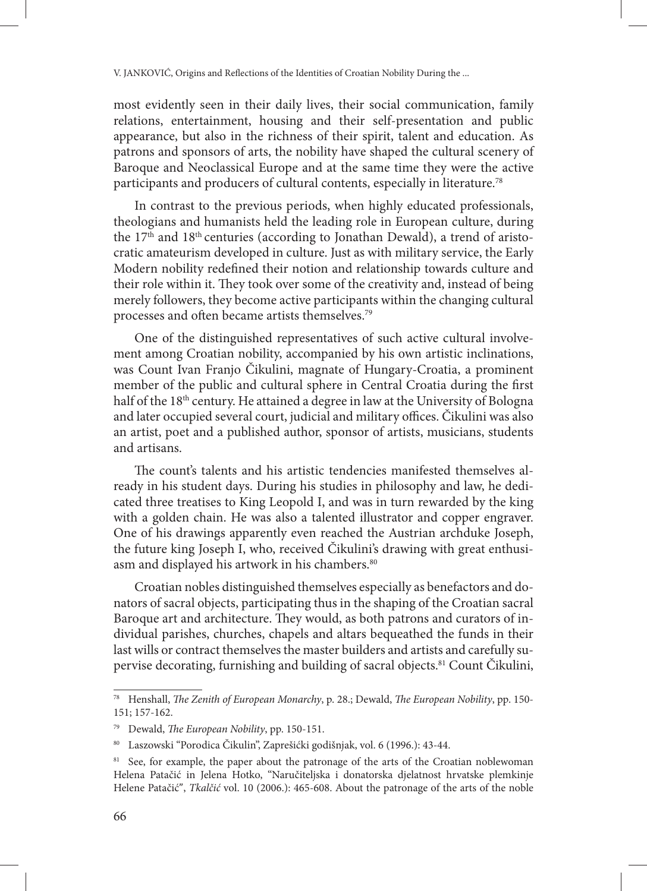most evidently seen in their daily lives, their social communication, family relations, entertainment, housing and their self-presentation and public appearance, but also in the richness of their spirit, talent and education. As patrons and sponsors of arts, the nobility have shaped the cultural scenery of Baroque and Neoclassical Europe and at the same time they were the active participants and producers of cultural contents, especially in literature.78

In contrast to the previous periods, when highly educated professionals, theologians and humanists held the leading role in European culture, during the 17<sup>th</sup> and 18<sup>th</sup> centuries (according to Jonathan Dewald), a trend of aristocratic amateurism developed in culture. Just as with military service, the Early Modern nobility redefined their notion and relationship towards culture and their role within it. They took over some of the creativity and, instead of being merely followers, they become active participants within the changing cultural processes and often became artists themselves.79

One of the distinguished representatives of such active cultural involvement among Croatian nobility, accompanied by his own artistic inclinations, was Count Ivan Franjo Čikulini, magnate of Hungary-Croatia, a prominent member of the public and cultural sphere in Central Croatia during the first half of the 18<sup>th</sup> century. He attained a degree in law at the University of Bologna and later occupied several court, judicial and military offices. Čikulini was also an artist, poet and a published author, sponsor of artists, musicians, students and artisans.

The count's talents and his artistic tendencies manifested themselves already in his student days. During his studies in philosophy and law, he dedicated three treatises to King Leopold I, and was in turn rewarded by the king with a golden chain. He was also a talented illustrator and copper engraver. One of his drawings apparently even reached the Austrian archduke Joseph, the future king Joseph I, who, received Čikulini's drawing with great enthusiasm and displayed his artwork in his chambers.<sup>80</sup>

Croatian nobles distinguished themselves especially as benefactors and donators of sacral objects, participating thus in the shaping of the Croatian sacral Baroque art and architecture. They would, as both patrons and curators of individual parishes, churches, chapels and altars bequeathed the funds in their last wills or contract themselves the master builders and artists and carefully supervise decorating, furnishing and building of sacral objects.<sup>81</sup> Count Čikulini,

<sup>78</sup> Henshall, *The Zenith of European Monarchy*, p. 28.; Dewald, *The European Nobility*, pp. 150- 151; 157-162.

<sup>79</sup> Dewald, *The European Nobility*, pp. 150-151.

<sup>80</sup> Laszowski "Porodica Čikulin", Zaprešićki godišnjak, vol. 6 (1996.): 43-44.

<sup>&</sup>lt;sup>81</sup> See, for example, the paper about the patronage of the arts of the Croatian noblewoman Helena Patačić in Jelena Hotko, "Naručiteljska i donatorska djelatnost hrvatske plemkinje Helene Patačić", *Tkalčić* vol. 10 (2006.): 465-608. About the patronage of the arts of the noble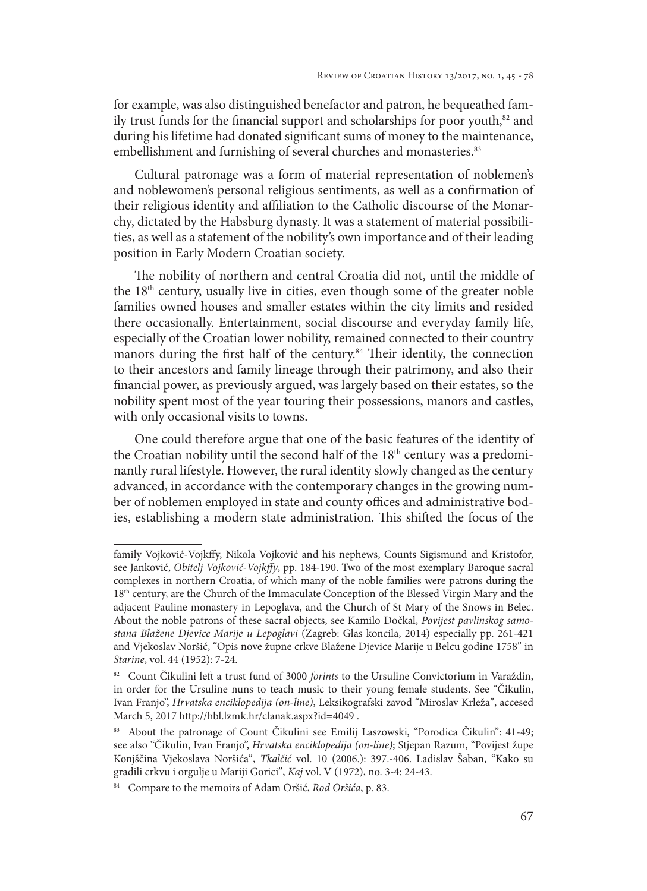for example, was also distinguished benefactor and patron, he bequeathed family trust funds for the financial support and scholarships for poor youth, $82$  and during his lifetime had donated significant sums of money to the maintenance, embellishment and furnishing of several churches and monasteries.<sup>83</sup>

Cultural patronage was a form of material representation of noblemen's and noblewomen's personal religious sentiments, as well as a confirmation of their religious identity and affiliation to the Catholic discourse of the Monarchy, dictated by the Habsburg dynasty. It was a statement of material possibilities, as well as a statement of the nobility's own importance and of their leading position in Early Modern Croatian society.

The nobility of northern and central Croatia did not, until the middle of the 18<sup>th</sup> century, usually live in cities, even though some of the greater noble families owned houses and smaller estates within the city limits and resided there occasionally. Entertainment, social discourse and everyday family life, especially of the Croatian lower nobility, remained connected to their country manors during the first half of the century.84 Their identity, the connection to their ancestors and family lineage through their patrimony, and also their financial power, as previously argued, was largely based on their estates, so the nobility spent most of the year touring their possessions, manors and castles, with only occasional visits to towns.

One could therefore argue that one of the basic features of the identity of the Croatian nobility until the second half of the 18<sup>th</sup> century was a predominantly rural lifestyle. However, the rural identity slowly changed as the century advanced, in accordance with the contemporary changes in the growing number of noblemen employed in state and county offices and administrative bodies, establishing a modern state administration. This shifted the focus of the

family Vojković-Vojkffy, Nikola Vojković and his nephews, Counts Sigismund and Kristofor, see Janković, *Obitelj Vojković-Vojkffy*, pp. 184-190. Two of the most exemplary Baroque sacral complexes in northern Croatia, of which many of the noble families were patrons during the 18<sup>th</sup> century, are the Church of the Immaculate Conception of the Blessed Virgin Mary and the adjacent Pauline monastery in Lepoglava, and the Church of St Mary of the Snows in Belec. About the noble patrons of these sacral objects, see Kamilo Dočkal, *Povijest pavlinskog samostana Blažene Djevice Marije u Lepoglavi* (Zagreb: Glas koncila, 2014) especially pp. 261-421 and Vjekoslav Noršić, "Opis nove župne crkve Blažene Djevice Marije u Belcu godine 1758" in *Starine*, vol. 44 (1952): 7-24.

<sup>82</sup> Count Čikulini left a trust fund of 3000 *forints* to the Ursuline Convictorium in Varaždin, in order for the Ursuline nuns to teach music to their young female students. See "Čikulin, Ivan Franjo", *Hrvatska enciklopedija (on-line)*, Leksikografski zavod "Miroslav Krleža", accesed March 5, 2017 http://hbl.lzmk.hr/clanak.aspx?id=4049 .

<sup>83</sup> About the patronage of Count Čikulini see Emilij Laszowski, "Porodica Čikulin": 41-49; see also "Čikulin, Ivan Franjo", *Hrvatska enciklopedija (on-line)*; Stjepan Razum, "Povijest župe Konjščina Vjekoslava Noršića", *Tkalčić* vol. 10 (2006.): 397.-406. Ladislav Šaban, "Kako su gradili crkvu i orgulje u Mariji Gorici", *Kaj* vol. V (1972), no. 3-4: 24-43.

<sup>84</sup> Compare to the memoirs of Adam Oršić, *Rod Oršića*, p. 83.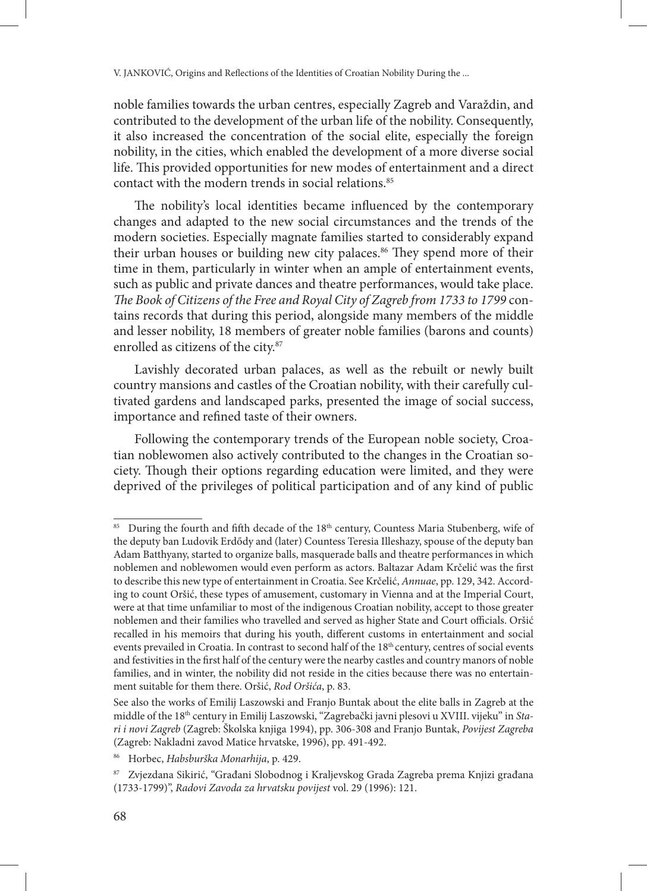noble families towards the urban centres, especially Zagreb and Varaždin, and contributed to the development of the urban life of the nobility. Consequently, it also increased the concentration of the social elite, especially the foreign nobility, in the cities, which enabled the development of a more diverse social life. This provided opportunities for new modes of entertainment and a direct contact with the modern trends in social relations.<sup>85</sup>

The nobility's local identities became influenced by the contemporary changes and adapted to the new social circumstances and the trends of the modern societies. Especially magnate families started to considerably expand their urban houses or building new city palaces.<sup>86</sup> They spend more of their time in them, particularly in winter when an ample of entertainment events, such as public and private dances and theatre performances, would take place. *The Book of Citizens of the Free and Royal City of Zagreb from 1733 to 1799* contains records that during this period, alongside many members of the middle and lesser nobility, 18 members of greater noble families (barons and counts) enrolled as citizens of the city.<sup>87</sup>

Lavishly decorated urban palaces, as well as the rebuilt or newly built country mansions and castles of the Croatian nobility, with their carefully cultivated gardens and landscaped parks, presented the image of social success, importance and refined taste of their owners.

Following the contemporary trends of the European noble society, Croatian noblewomen also actively contributed to the changes in the Croatian society. Though their options regarding education were limited, and they were deprived of the privileges of political participation and of any kind of public

<sup>85</sup> During the fourth and fifth decade of the 18<sup>th</sup> century, Countess Maria Stubenberg, wife of the deputy ban Ludovik Erdődy and (later) Countess Teresia Illeshazy, spouse of the deputy ban Adam Batthyany, started to organize balls, masquerade balls and theatre performances in which noblemen and noblewomen would even perform as actors. Baltazar Adam Krčelić was the first to describe this new type of entertainment in Croatia. See Krčelić, *Annuae*, pp. 129, 342. According to count Oršić, these types of amusement, customary in Vienna and at the Imperial Court, were at that time unfamiliar to most of the indigenous Croatian nobility, accept to those greater noblemen and their families who travelled and served as higher State and Court officials. Oršić recalled in his memoirs that during his youth, different customs in entertainment and social events prevailed in Croatia. In contrast to second half of the 18<sup>th</sup> century, centres of social events and festivities in the first half of the century were the nearby castles and country manors of noble families, and in winter, the nobility did not reside in the cities because there was no entertainment suitable for them there. Oršić, *Rod Oršića*, p. 83.

See also the works of Emilij Laszowski and Franjo Buntak about the elite balls in Zagreb at the middle of the 18th century in Emilij Laszowski, "Zagrebački javni plesovi u XVIII. vijeku" in *Stari i novi Zagreb* (Zagreb: Školska knjiga 1994), pp. 306-308 and Franjo Buntak, *Povijest Zagreba* (Zagreb: Nakladni zavod Matice hrvatske, 1996), pp. 491-492.

<sup>86</sup> Horbec, *Habsburška Monarhija*, p. 429.

<sup>87</sup> Zvjezdana Sikirić, "Građani Slobodnog i Kraljevskog Grada Zagreba prema Knjizi građana (1733-1799)", *Radovi Zavoda za hrvatsku povijest* vol. 29 (1996): 121.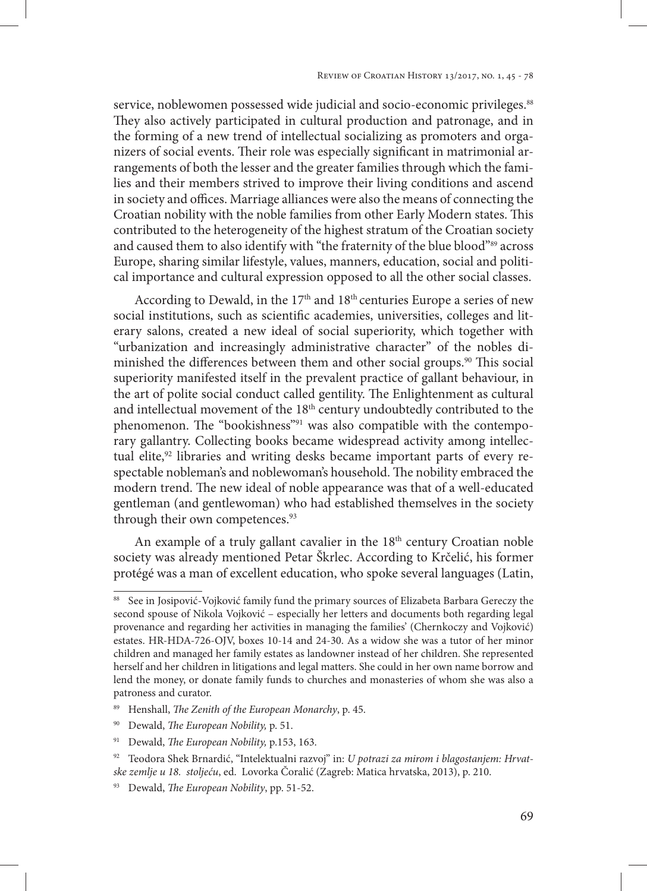service, noblewomen possessed wide judicial and socio-economic privileges.<sup>88</sup> They also actively participated in cultural production and patronage, and in the forming of a new trend of intellectual socializing as promoters and organizers of social events. Their role was especially significant in matrimonial arrangements of both the lesser and the greater families through which the families and their members strived to improve their living conditions and ascend in society and offices. Marriage alliances were also the means of connecting the Croatian nobility with the noble families from other Early Modern states. This contributed to the heterogeneity of the highest stratum of the Croatian society and caused them to also identify with "the fraternity of the blue blood"89 across Europe, sharing similar lifestyle, values, manners, education, social and political importance and cultural expression opposed to all the other social classes.

According to Dewald, in the  $17<sup>th</sup>$  and  $18<sup>th</sup>$  centuries Europe a series of new social institutions, such as scientific academies, universities, colleges and literary salons, created a new ideal of social superiority, which together with "urbanization and increasingly administrative character" of the nobles diminished the differences between them and other social groups.<sup>90</sup> This social superiority manifested itself in the prevalent practice of gallant behaviour, in the art of polite social conduct called gentility. The Enlightenment as cultural and intellectual movement of the 18<sup>th</sup> century undoubtedly contributed to the phenomenon. The "bookishness"<sup>91</sup> was also compatible with the contemporary gallantry. Collecting books became widespread activity among intellectual elite,<sup>92</sup> libraries and writing desks became important parts of every respectable nobleman's and noblewoman's household. The nobility embraced the modern trend. The new ideal of noble appearance was that of a well-educated gentleman (and gentlewoman) who had established themselves in the society through their own competences.<sup>93</sup>

An example of a truly gallant cavalier in the  $18<sup>th</sup>$  century Croatian noble society was already mentioned Petar Škrlec. According to Krčelić, his former protégé was a man of excellent education, who spoke several languages (Latin,

See in Josipović-Vojković family fund the primary sources of Elizabeta Barbara Gereczy the second spouse of Nikola Vojković – especially her letters and documents both regarding legal provenance and regarding her activities in managing the families' (Chernkoczy and Vojković) estates. HR-HDA-726-OJV, boxes 10-14 and 24-30. As a widow she was a tutor of her minor children and managed her family estates as landowner instead of her children. She represented herself and her children in litigations and legal matters. She could in her own name borrow and lend the money, or donate family funds to churches and monasteries of whom she was also a patroness and curator.

<sup>89</sup> Henshall, *The Zenith of the European Monarchy*, p. 45.

<sup>90</sup> Dewald, *The European Nobility,* p. 51.

<sup>91</sup> Dewald, *The European Nobility,* p.153, 163.

<sup>92</sup> Teodora Shek Brnardić, "Intelektualni razvoj" in: *U potrazi za mirom i blagostanjem: Hrvatske zemlje u 18. stoljeću*, ed. Lovorka Čoralić (Zagreb: Matica hrvatska, 2013), p. 210.

<sup>93</sup> Dewald, *The European Nobility*, pp. 51-52.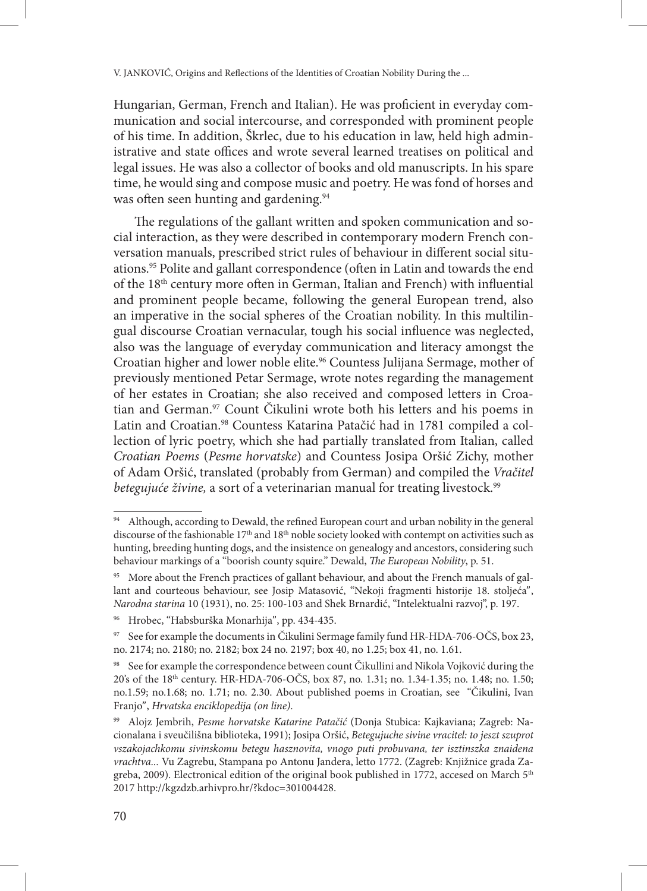Hungarian, German, French and Italian). He was proficient in everyday communication and social intercourse, and corresponded with prominent people of his time. In addition, Škrlec, due to his education in law, held high administrative and state offices and wrote several learned treatises on political and legal issues. He was also a collector of books and old manuscripts. In his spare time, he would sing and compose music and poetry. He was fond of horses and was often seen hunting and gardening.<sup>94</sup>

The regulations of the gallant written and spoken communication and social interaction, as they were described in contemporary modern French conversation manuals, prescribed strict rules of behaviour in different social situations.95 Polite and gallant correspondence (often in Latin and towards the end of the 18<sup>th</sup> century more often in German, Italian and French) with influential and prominent people became, following the general European trend, also an imperative in the social spheres of the Croatian nobility. In this multilingual discourse Croatian vernacular, tough his social influence was neglected, also was the language of everyday communication and literacy amongst the Croatian higher and lower noble elite.96 Countess Julijana Sermage, mother of previously mentioned Petar Sermage, wrote notes regarding the management of her estates in Croatian; she also received and composed letters in Croatian and German.97 Count Čikulini wrote both his letters and his poems in Latin and Croatian.<sup>98</sup> Countess Katarina Patačić had in 1781 compiled a collection of lyric poetry, which she had partially translated from Italian, called *Croatian Poems* (*Pesme horvatske*) and Countess Josipa Oršić Zichy, mother of Adam Oršić, translated (probably from German) and compiled the *Vračitel betegujuće živine*, a sort of a veterinarian manual for treating livestock.<sup>99</sup>

<sup>94</sup> Although, according to Dewald, the refined European court and urban nobility in the general discourse of the fashionable 17<sup>th</sup> and 18<sup>th</sup> noble society looked with contempt on activities such as hunting, breeding hunting dogs, and the insistence on genealogy and ancestors, considering such behaviour markings of a "boorish county squire." Dewald, *The European Nobility*, p. 51.

<sup>&</sup>lt;sup>95</sup> More about the French practices of gallant behaviour, and about the French manuals of gallant and courteous behaviour, see Josip Matasović, "Nekoji fragmenti historije 18. stoljeća", *Narodna starina* 10 (1931), no. 25: 100-103 and Shek Brnardić, "Intelektualni razvoj", p. 197.

<sup>96</sup> Hrobec, "Habsburška Monarhija", pp. 434-435.

<sup>97</sup> See for example the documents in Čikulini Sermage family fund HR-HDA-706-OČS, box 23, no. 2174; no. 2180; no. 2182; box 24 no. 2197; box 40, no 1.25; box 41, no. 1.61.

<sup>98</sup> See for example the correspondence between count Čikullini and Nikola Vojković during the 20's of the 18th century. HR-HDA-706-OČS, box 87, no. 1.31; no. 1.34-1.35; no. 1.48; no. 1.50; no.1.59; no.1.68; no. 1.71; no. 2.30. About published poems in Croatian, see "Čikulini, Ivan Franjo", *Hrvatska enciklopedija (on line)*.

<sup>99</sup> Alojz Jembrih, *Pesme horvatske Katarine Patačić* (Donja Stubica: Kajkaviana; Zagreb: Nacionalana i sveučilišna biblioteka, 1991); Josipa Oršić, *Betegujuche sivine vracitel: to jeszt szuprot vszakojachkomu sivinskomu betegu hasznovita, vnogo puti probuvana, ter isztinszka znaidena vrachtva...* Vu Zagrebu, Stampana po Antonu Jandera, letto 1772. (Zagreb: Knjižnice grada Zagreba, 2009). Electronical edition of the original book published in 1772, accesed on March 5<sup>th</sup> 2017 http://kgzdzb.arhivpro.hr/?kdoc=301004428.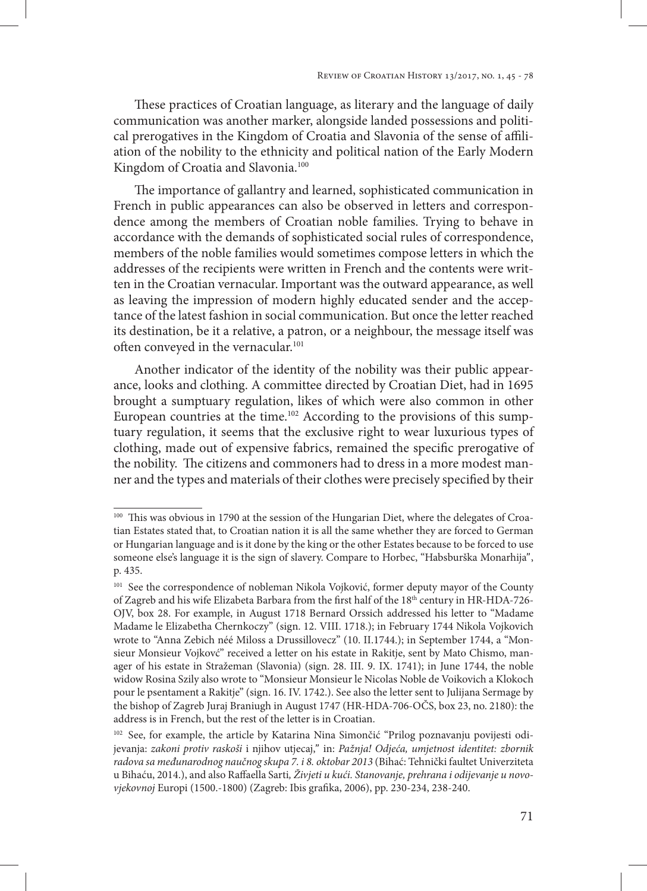These practices of Croatian language, as literary and the language of daily communication was another marker, alongside landed possessions and political prerogatives in the Kingdom of Croatia and Slavonia of the sense of affiliation of the nobility to the ethnicity and political nation of the Early Modern Kingdom of Croatia and Slavonia.<sup>100</sup>

The importance of gallantry and learned, sophisticated communication in French in public appearances can also be observed in letters and correspondence among the members of Croatian noble families. Trying to behave in accordance with the demands of sophisticated social rules of correspondence, members of the noble families would sometimes compose letters in which the addresses of the recipients were written in French and the contents were written in the Croatian vernacular. Important was the outward appearance, as well as leaving the impression of modern highly educated sender and the acceptance of the latest fashion in social communication. But once the letter reached its destination, be it a relative, a patron, or a neighbour, the message itself was often conveyed in the vernacular.<sup>101</sup>

Another indicator of the identity of the nobility was their public appearance, looks and clothing. A committee directed by Croatian Diet, had in 1695 brought a sumptuary regulation, likes of which were also common in other European countries at the time.<sup>102</sup> According to the provisions of this sumptuary regulation, it seems that the exclusive right to wear luxurious types of clothing, made out of expensive fabrics, remained the specific prerogative of the nobility. The citizens and commoners had to dress in a more modest manner and the types and materials of their clothes were precisely specified by their

<sup>&</sup>lt;sup>100</sup> This was obvious in 1790 at the session of the Hungarian Diet, where the delegates of Croatian Estates stated that, to Croatian nation it is all the same whether they are forced to German or Hungarian language and is it done by the king or the other Estates because to be forced to use someone else's language it is the sign of slavery. Compare to Horbec, "Habsburška Monarhija", p. 435.

<sup>&</sup>lt;sup>101</sup> See the correspondence of nobleman Nikola Vojković, former deputy mayor of the County of Zagreb and his wife Elizabeta Barbara from the first half of the 18th century in HR-HDA-726- OJV, box 28. For example, in August 1718 Bernard Orssich addressed his letter to "Madame Madame le Elizabetha Chernkoczy" (sign. 12. VIII. 1718.); in February 1744 Nikola Vojkovich wrote to "Anna Zebich néé Miloss a Drussillovecz" (10. II.1744.); in September 1744, a "Monsieur Monsieur Vojkovć" received a letter on his estate in Rakitje, sent by Mato Chismo, manager of his estate in Stražeman (Slavonia) (sign. 28. III. 9. IX. 1741); in June 1744, the noble widow Rosina Szily also wrote to "Monsieur Monsieur le Nicolas Noble de Voikovich a Klokoch pour le psentament a Rakitje" (sign. 16. IV. 1742.). See also the letter sent to Julijana Sermage by the bishop of Zagreb Juraj Braniugh in August 1747 (HR-HDA-706-OČS, box 23, no. 2180): the address is in French, but the rest of the letter is in Croatian.

<sup>&</sup>lt;sup>102</sup> See, for example, the article by Katarina Nina Simončić "Prilog poznavanju povijesti odijevanja: *zakoni protiv raskoši* i njihov utjecaj," in: *Pažnja! Odjeća, umjetnost identitet: zbornik radova sa međunarodnog naučnog skupa 7. i 8. oktobar 2013* (Bihać: Tehnički faultet Univerziteta u Bihaću, 2014.), and also Raffaella Sarti*, Živjeti u kući. Stanovanje, prehrana i odijevanje u novovjekovnoj* Europi (1500.-1800) (Zagreb: Ibis grafika, 2006), pp. 230-234, 238-240.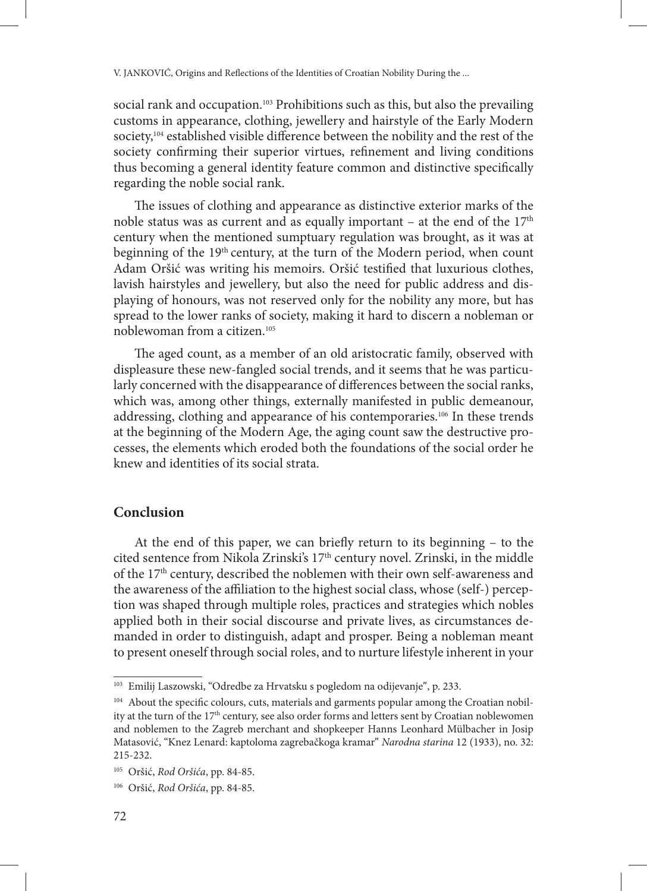social rank and occupation.<sup>103</sup> Prohibitions such as this, but also the prevailing customs in appearance, clothing, jewellery and hairstyle of the Early Modern society,<sup>104</sup> established visible difference between the nobility and the rest of the society confirming their superior virtues, refinement and living conditions thus becoming a general identity feature common and distinctive specifically regarding the noble social rank.

The issues of clothing and appearance as distinctive exterior marks of the noble status was as current and as equally important – at the end of the  $17<sup>th</sup>$ century when the mentioned sumptuary regulation was brought, as it was at beginning of the 19<sup>th</sup> century, at the turn of the Modern period, when count Adam Oršić was writing his memoirs. Oršić testified that luxurious clothes, lavish hairstyles and jewellery, but also the need for public address and displaying of honours, was not reserved only for the nobility any more, but has spread to the lower ranks of society, making it hard to discern a nobleman or noblewoman from a citizen.105

The aged count, as a member of an old aristocratic family, observed with displeasure these new-fangled social trends, and it seems that he was particularly concerned with the disappearance of differences between the social ranks, which was, among other things, externally manifested in public demeanour, addressing, clothing and appearance of his contemporaries.106 In these trends at the beginning of the Modern Age, the aging count saw the destructive processes, the elements which eroded both the foundations of the social order he knew and identities of its social strata.

## **Conclusion**

At the end of this paper, we can briefly return to its beginning – to the cited sentence from Nikola Zrinski's 17th century novel. Zrinski, in the middle of the 17<sup>th</sup> century, described the noblemen with their own self-awareness and the awareness of the affiliation to the highest social class, whose (self-) perception was shaped through multiple roles, practices and strategies which nobles applied both in their social discourse and private lives, as circumstances demanded in order to distinguish, adapt and prosper. Being a nobleman meant to present oneself through social roles, and to nurture lifestyle inherent in your

<sup>103</sup> Emilij Laszowski, "Odredbe za Hrvatsku s pogledom na odijevanje", p. 233.

<sup>104</sup> About the specific colours, cuts, materials and garments popular among the Croatian nobility at the turn of the 17<sup>th</sup> century, see also order forms and letters sent by Croatian noblewomen and noblemen to the Zagreb merchant and shopkeeper Hanns Leonhard Mülbacher in Josip Matasović, "Knez Lenard: kaptoloma zagrebačkoga kramar" *Narodna starina* 12 (1933), no. 32: 215-232.

<sup>105</sup> Oršić, *Rod Oršića*, pp. 84-85.

<sup>106</sup> Oršić, *Rod Oršića*, pp. 84-85.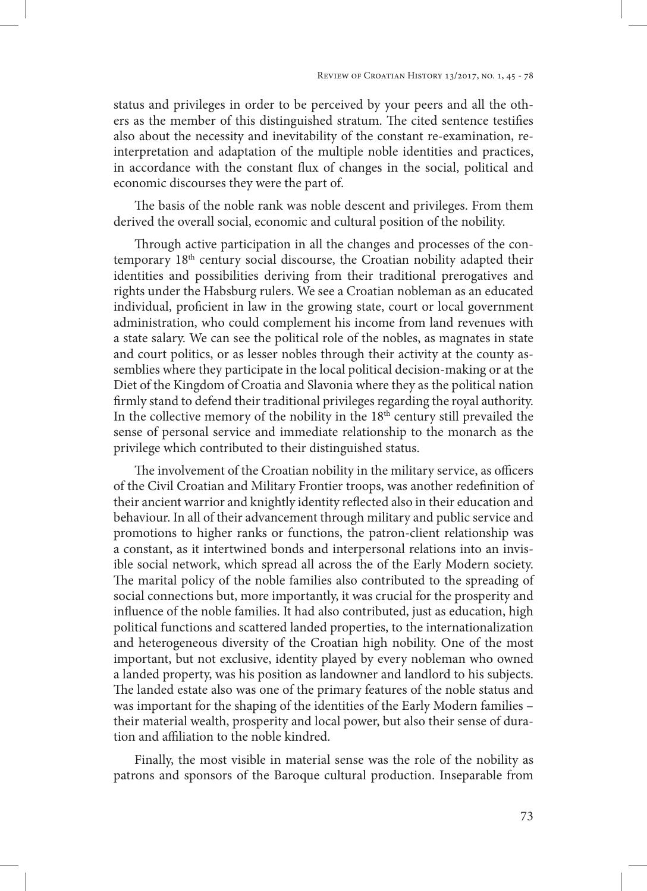status and privileges in order to be perceived by your peers and all the others as the member of this distinguished stratum. The cited sentence testifies also about the necessity and inevitability of the constant re-examination, reinterpretation and adaptation of the multiple noble identities and practices, in accordance with the constant flux of changes in the social, political and economic discourses they were the part of.

The basis of the noble rank was noble descent and privileges. From them derived the overall social, economic and cultural position of the nobility.

Through active participation in all the changes and processes of the contemporary 18th century social discourse, the Croatian nobility adapted their identities and possibilities deriving from their traditional prerogatives and rights under the Habsburg rulers. We see a Croatian nobleman as an educated individual, proficient in law in the growing state, court or local government administration, who could complement his income from land revenues with a state salary. We can see the political role of the nobles, as magnates in state and court politics, or as lesser nobles through their activity at the county assemblies where they participate in the local political decision-making or at the Diet of the Kingdom of Croatia and Slavonia where they as the political nation firmly stand to defend their traditional privileges regarding the royal authority. In the collective memory of the nobility in the  $18<sup>th</sup>$  century still prevailed the sense of personal service and immediate relationship to the monarch as the privilege which contributed to their distinguished status.

The involvement of the Croatian nobility in the military service, as officers of the Civil Croatian and Military Frontier troops, was another redefinition of their ancient warrior and knightly identity reflected also in their education and behaviour. In all of their advancement through military and public service and promotions to higher ranks or functions, the patron-client relationship was a constant, as it intertwined bonds and interpersonal relations into an invisible social network, which spread all across the of the Early Modern society. The marital policy of the noble families also contributed to the spreading of social connections but, more importantly, it was crucial for the prosperity and influence of the noble families. It had also contributed, just as education, high political functions and scattered landed properties, to the internationalization and heterogeneous diversity of the Croatian high nobility. One of the most important, but not exclusive, identity played by every nobleman who owned a landed property, was his position as landowner and landlord to his subjects. The landed estate also was one of the primary features of the noble status and was important for the shaping of the identities of the Early Modern families – their material wealth, prosperity and local power, but also their sense of duration and affiliation to the noble kindred.

Finally, the most visible in material sense was the role of the nobility as patrons and sponsors of the Baroque cultural production. Inseparable from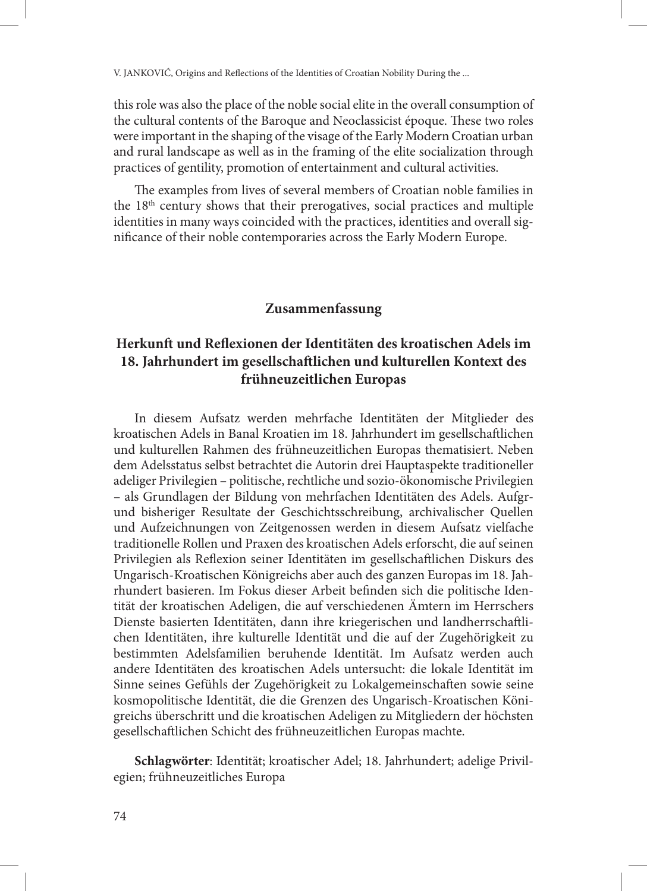this role was also the place of the noble social elite in the overall consumption of the cultural contents of the Baroque and Neoclassicist époque. These two roles were important in the shaping of the visage of the Early Modern Croatian urban and rural landscape as well as in the framing of the elite socialization through practices of gentility, promotion of entertainment and cultural activities.

The examples from lives of several members of Croatian noble families in the 18th century shows that their prerogatives, social practices and multiple identities in many ways coincided with the practices, identities and overall significance of their noble contemporaries across the Early Modern Europe.

### **Zusammenfassung**

## **Herkunft und Reflexionen der Identitäten des kroatischen Adels im 18. Jahrhundert im gesellschaftlichen und kulturellen Kontext des frühneuzeitlichen Europas**

In diesem Aufsatz werden mehrfache Identitäten der Mitglieder des kroatischen Adels in Banal Kroatien im 18. Jahrhundert im gesellschaftlichen und kulturellen Rahmen des frühneuzeitlichen Europas thematisiert. Neben dem Adelsstatus selbst betrachtet die Autorin drei Hauptaspekte traditioneller adeliger Privilegien – politische, rechtliche und sozio-ökonomische Privilegien – als Grundlagen der Bildung von mehrfachen Identitäten des Adels. Aufgrund bisheriger Resultate der Geschichtsschreibung, archivalischer Quellen und Aufzeichnungen von Zeitgenossen werden in diesem Aufsatz vielfache traditionelle Rollen und Praxen des kroatischen Adels erforscht, die auf seinen Privilegien als Reflexion seiner Identitäten im gesellschaftlichen Diskurs des Ungarisch-Kroatischen Königreichs aber auch des ganzen Europas im 18. Jahrhundert basieren. Im Fokus dieser Arbeit befinden sich die politische Identität der kroatischen Adeligen, die auf verschiedenen Ämtern im Herrschers Dienste basierten Identitäten, dann ihre kriegerischen und landherrschaftlichen Identitäten, ihre kulturelle Identität und die auf der Zugehörigkeit zu bestimmten Adelsfamilien beruhende Identität. Im Aufsatz werden auch andere Identitäten des kroatischen Adels untersucht: die lokale Identität im Sinne seines Gefühls der Zugehörigkeit zu Lokalgemeinschaften sowie seine kosmopolitische Identität, die die Grenzen des Ungarisch-Kroatischen Königreichs überschritt und die kroatischen Adeligen zu Mitgliedern der höchsten gesellschaftlichen Schicht des frühneuzeitlichen Europas machte.

**Schlagwörter**: Identität; kroatischer Adel; 18. Jahrhundert; adelige Privilegien; frühneuzeitliches Europa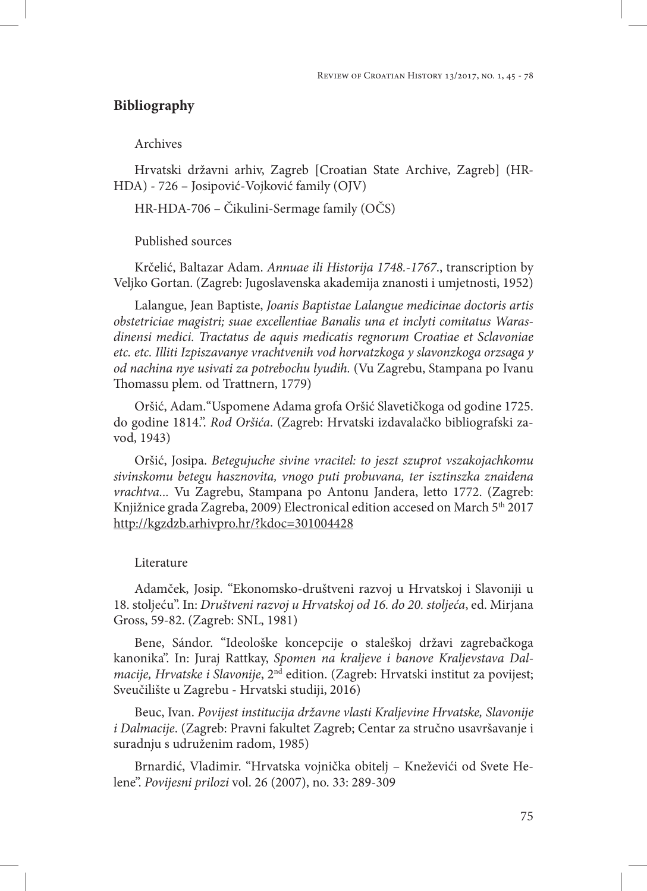#### **Bibliography**

Archives

Hrvatski državni arhiv, Zagreb [Croatian State Archive, Zagreb] (HR-HDA) - 726 – Josipović-Vojković family (OJV)

HR-HDA-706 – Čikulini-Sermage family (OČS)

Published sources

Krčelić, Baltazar Adam. *Annuae ili Historija 1748.-1767*., transcription by Veljko Gortan. (Zagreb: Jugoslavenska akademija znanosti i umjetnosti, 1952)

Lalangue, Jean Baptiste, *Joanis Baptistae Lalangue medicinae doctoris artis obstetriciae magistri; suae excellentiae Banalis una et inclyti comitatus Warasdinensi medici. Tractatus de aquis medicatis regnorum Croatiae et Sclavoniae etc. etc. Illiti Izpiszavanye vrachtvenih vod horvatzkoga y slavonzkoga orzsaga y od nachina nye usivati za potrebochu lyudih.* (Vu Zagrebu, Stampana po Ivanu Thomassu plem. od Trattnern, 1779)

Oršić, Adam."Uspomene Adama grofa Oršić Slavetičkoga od godine 1725. do godine 1814.". *Rod Oršića*. (Zagreb: Hrvatski izdavalačko bibliografski zavod, 1943)

Oršić, Josipa. *Betegujuche sivine vracitel: to jeszt szuprot vszakojachkomu sivinskomu betegu hasznovita, vnogo puti probuvana, ter isztinszka znaidena vrachtva...* Vu Zagrebu, Stampana po Antonu Jandera, letto 1772. (Zagreb: Knjižnice grada Zagreba, 2009) Electronical edition accesed on March 5<sup>th</sup> 2017 http://kgzdzb.arhivpro.hr/?kdoc=301004428

#### Literature

Adamček, Josip. "Ekonomsko-društveni razvoj u Hrvatskoj i Slavoniji u 18. stoljeću". In: *Društveni razvoj u Hrvatskoj od 16. do 20. stoljeća*, ed. Mirjana Gross, 59-82. (Zagreb: SNL, 1981)

Bene, Sándor. "Ideološke koncepcije o staleškoj državi zagrebačkoga kanonika". In: Juraj Rattkay, *Spomen na kraljeve i banove Kraljevstava Dalmacije, Hrvatske i Slavonije*, 2nd edition. (Zagreb: Hrvatski institut za povijest; Sveučilište u Zagrebu - Hrvatski studiji, 2016)

Beuc, Ivan. *Povijest institucija državne vlasti Kraljevine Hrvatske, Slavonije i Dalmacije*. (Zagreb: Pravni fakultet Zagreb; Centar za stručno usavršavanje i suradnju s udruženim radom, 1985)

Brnardić, Vladimir. "Hrvatska vojnička obitelj – Kneževići od Svete Helene". *Povijesni prilozi* vol. 26 (2007), no. 33: 289-309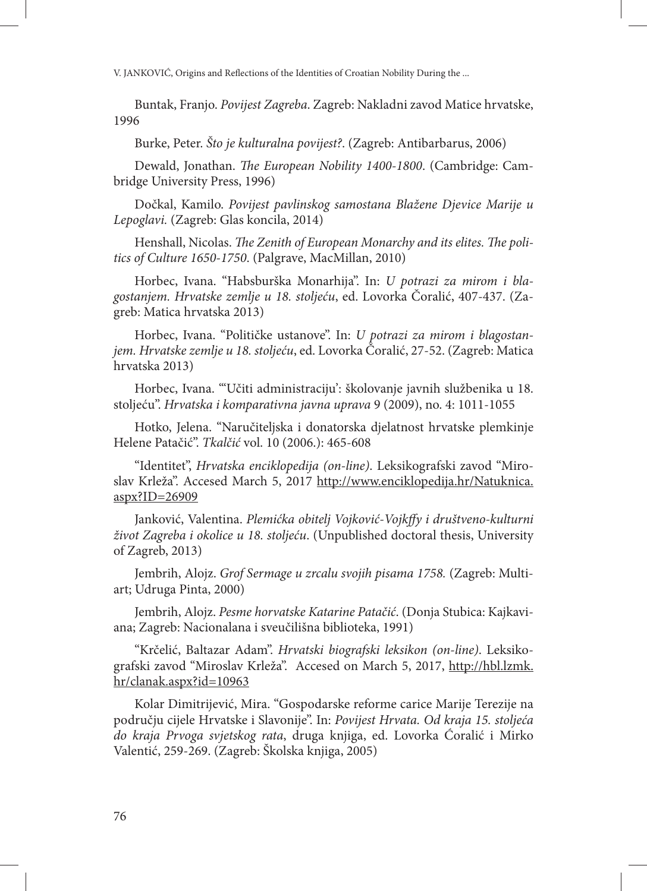Buntak, Franjo. *Povijest Zagreba*. Zagreb: Nakladni zavod Matice hrvatske, 1996

Burke, Peter. *Što je kulturalna povijest?*. (Zagreb: Antibarbarus, 2006)

Dewald, Jonathan. *The European Nobility 1400-1800*. (Cambridge: Cambridge University Press, 1996)

Dočkal, Kamilo. *Povijest pavlinskog samostana Blažene Djevice Marije u Lepoglavi.* (Zagreb: Glas koncila, 2014)

Henshall, Nicolas. *The Zenith of European Monarchy and its elites. The politics of Culture 1650-1750*. (Palgrave, MacMillan, 2010)

Horbec, Ivana. "Habsburška Monarhija". In: *U potrazi za mirom i blagostanjem. Hrvatske zemlje u 18. stoljeću*, ed. Lovorka Čoralić, 407-437. (Zagreb: Matica hrvatska 2013)

Horbec, Ivana. "Političke ustanove". In: *U potrazi za mirom i blagostanjem. Hrvatske zemlje u 18. stoljeću*, ed. Lovorka Čoralić, 27-52. (Zagreb: Matica hrvatska 2013)

Horbec, Ivana. "'Učiti administraciju': školovanje javnih službenika u 18. stoljeću". *Hrvatska i komparativna javna uprava* 9 (2009), no. 4: 1011-1055

Hotko, Jelena. "Naručiteljska i donatorska djelatnost hrvatske plemkinje Helene Patačić". *Tkalčić* vol. 10 (2006.): 465-608

"Identitet", *Hrvatska enciklopedija (on-line)*. Leksikografski zavod "Miroslav Krleža". Accesed March 5, 2017 http://www.enciklopedija.hr/Natuknica. aspx?ID=26909

Janković, Valentina. *Plemićka obitelj Vojković-Vojkffy i društveno-kulturni život Zagreba i okolice u 18. stoljeću*. (Unpublished doctoral thesis, University of Zagreb, 2013)

Jembrih, Alojz. *Grof Sermage u zrcalu svojih pisama 1758.* (Zagreb: Multiart; Udruga Pinta, 2000)

Jembrih, Alojz. *Pesme horvatske Katarine Patačić*. (Donja Stubica: Kajkaviana; Zagreb: Nacionalana i sveučilišna biblioteka, 1991)

"Krčelić, Baltazar Adam". *Hrvatski biografski leksikon (on-line)*. Leksikografski zavod "Miroslav Krleža". Accesed on March 5, 2017, http://hbl.lzmk. hr/clanak.aspx?id=10963

Kolar Dimitrijević, Mira. "Gospodarske reforme carice Marije Terezije na području cijele Hrvatske i Slavonije". In: *Povijest Hrvata. Od kraja 15. stoljeća do kraja Prvoga svjetskog rata*, druga knjiga, ed. Lovorka Ćoralić i Mirko Valentić, 259-269. (Zagreb: Školska knjiga, 2005)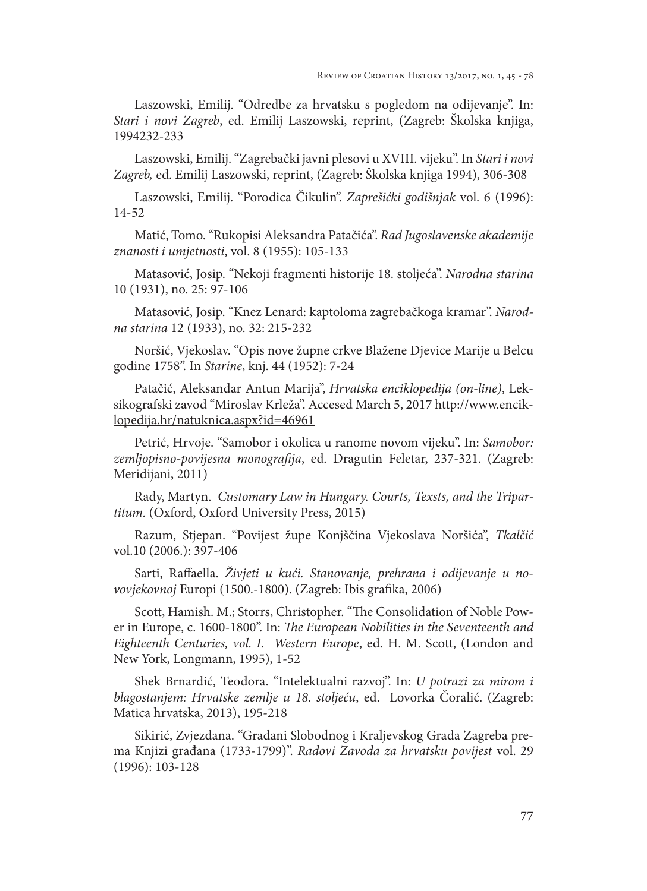Laszowski, Emilij. "Odredbe za hrvatsku s pogledom na odijevanje". In: *Stari i novi Zagreb*, ed. Emilij Laszowski, reprint, (Zagreb: Školska knjiga, 1994232-233

Laszowski, Emilij. "Zagrebački javni plesovi u XVIII. vijeku". In *Stari i novi Zagreb,* ed. Emilij Laszowski, reprint, (Zagreb: Školska knjiga 1994), 306-308

Laszowski, Emilij. "Porodica Čikulin". *Zaprešićki godišnjak* vol. 6 (1996): 14-52

Matić, Tomo. "Rukopisi Aleksandra Patačića". *Rad Jugoslavenske akademije znanosti i umjetnosti*, vol. 8 (1955): 105-133

Matasović, Josip. "Nekoji fragmenti historije 18. stoljeća". *Narodna starina* 10 (1931), no. 25: 97-106

Matasović, Josip. "Knez Lenard: kaptoloma zagrebačkoga kramar". *Narodna starina* 12 (1933), no. 32: 215-232

Noršić, Vjekoslav. "Opis nove župne crkve Blažene Djevice Marije u Belcu godine 1758". In *Starine*, knj. 44 (1952): 7-24

Patačić, Aleksandar Antun Marija", *Hrvatska enciklopedija (on-line)*, Leksikografski zavod "Miroslav Krleža". Accesed March 5, 2017 http://www.enciklopedija.hr/natuknica.aspx?id=46961

Petrić, Hrvoje. "Samobor i okolica u ranome novom vijeku". In: *Samobor: zemljopisno-povijesna monografija*, ed. Dragutin Feletar, 237-321. (Zagreb: Meridijani, 2011)

Rady, Martyn. *Customary Law in Hungary. Courts, Texsts, and the Tripartitum.* (Oxford, Oxford University Press, 2015)

Razum, Stjepan. "Povijest župe Konjščina Vjekoslava Noršića", *Tkalčić*  vol.10 (2006.): 397-406

Sarti, Raffaella. *Živjeti u kući. Stanovanje, prehrana i odijevanje u novovjekovnoj* Europi (1500.-1800). (Zagreb: Ibis grafika, 2006)

Scott, Hamish. M.; Storrs, Christopher. "The Consolidation of Noble Power in Europe, c. 1600-1800". In: *The European Nobilities in the Seventeenth and Eighteenth Centuries, vol. I. Western Europe*, ed. H. M. Scott, (London and New York, Longmann, 1995), 1-52

Shek Brnardić, Teodora. "Intelektualni razvoj". In: *U potrazi za mirom i blagostanjem: Hrvatske zemlje u 18. stoljeću*, ed. Lovorka Čoralić. (Zagreb: Matica hrvatska, 2013), 195-218

Sikirić, Zvjezdana. "Građani Slobodnog i Kraljevskog Grada Zagreba prema Knjizi građana (1733-1799)". *Radovi Zavoda za hrvatsku povijest* vol. 29 (1996): 103-128